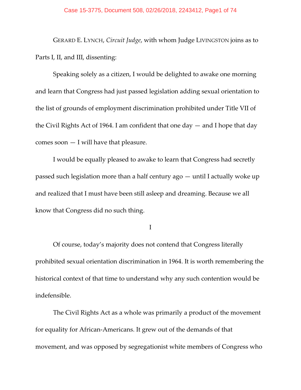GERARD E. LYNCH, *Circuit Judge*, with whom Judge LIVINGSTON joins as to Parts I, II, and III, dissenting:

Speaking solely as a citizen, I would be delighted to awake one morning and learn that Congress had just passed legislation adding sexual orientation to the list of grounds of employment discrimination prohibited under Title VII of the Civil Rights Act of 1964. I am confident that one day  $-$  and I hope that day comes soon — I will have that pleasure.

I would be equally pleased to awake to learn that Congress had secretly passed such legislation more than a half century ago — until I actually woke up and realized that I must have been still asleep and dreaming. Because we all know that Congress did no such thing.

I

Of course, today's majority does not contend that Congress literally prohibited sexual orientation discrimination in 1964. It is worth remembering the historical context of that time to understand why any such contention would be indefensible.

The Civil Rights Act as a whole was primarily a product of the movement for equality for African-Americans. It grew out of the demands of that movement, and was opposed by segregationist white members of Congress who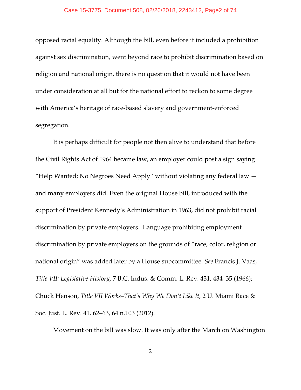opposed racial equality. Although the bill, even before it included a prohibition against sex discrimination, went beyond race to prohibit discrimination based on religion and national origin, there is no question that it would not have been under consideration at all but for the national effort to reckon to some degree with America's heritage of race-based slavery and government-enforced segregation.

It is perhaps difficult for people not then alive to understand that before the Civil Rights Act of 1964 became law, an employer could post a sign saying "Help Wanted; No Negroes Need Apply" without violating any federal law  $$ and many employers did. Even the original House bill, introduced with the support of President Kennedy's Administration in 1963, did not prohibit racial discrimination by private employers. Language prohibiting employment discrimination by private employers on the grounds of "race, color, religion or national origin" was added later by a House subcommittee. *See* Francis J. Vaas, *Title VII: Legislative History*, 7 B.C. Indus. & Comm. L. Rev. 431, 434–35 (1966); Chuck Henson, *Title VII Works–That's Why We Don't Like It*, 2 U. Miami Race & Soc. Just. L. Rev. 41, 62–63, 64 n.103 (2012).

Movement on the bill was slow. It was only after the March on Washington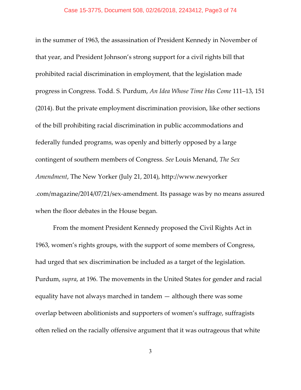in the summer of 1963, the assassination of President Kennedy in November of that year, and President Johnson's strong support for a civil rights bill that prohibited racial discrimination in employment, that the legislation made progress in Congress. Todd. S. Purdum, *An Idea Whose Time Has Come* 111–13, 151 (2014). But the private employment discrimination provision, like other sections of the bill prohibiting racial discrimination in public accommodations and federally funded programs, was openly and bitterly opposed by a large contingent of southern members of Congress. *See* Louis Menand, *The Sex Amendment*, The New Yorker (July 21, 2014), http://www.newyorker .com/magazine/2014/07/21/sex-amendment. Its passage was by no means assured when the floor debates in the House began.

From the moment President Kennedy proposed the Civil Rights Act in 1963, women's rights groups, with the support of some members of Congress, had urged that sex discrimination be included as a target of the legislation. Purdum, *supra*, at 196. The movements in the United States for gender and racial equality have not always marched in tandem — although there was some overlap between abolitionists and supporters of women's suffrage, suffragists often relied on the racially offensive argument that it was outrageous that white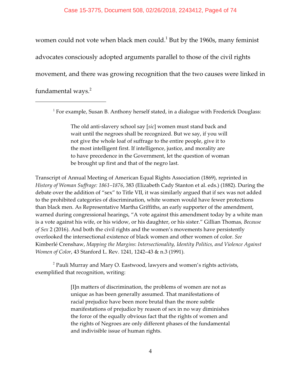women could not vote when black men could. $<sup>1</sup>$  But by the 1960s, many feminist</sup> advocates consciously adopted arguments parallel to those of the civil rights movement, and there was growing recognition that the two causes were linked in fundamental ways.<sup>2</sup>

 $<sup>1</sup>$  For example, Susan B. Anthony herself stated, in a dialogue with Frederick Douglass:</sup>

The old anti-slavery school say [*sic*] women must stand back and wait until the negroes shall be recognized. But we say, if you will not give the whole loaf of suffrage to the entire people, give it to the most intelligent first. If intelligence, justice, and morality are to have precedence in the Government, let the question of woman be brought up first and that of the negro last.

Transcript of Annual Meeting of American Equal Rights Association (1869), reprinted in *History of Woman Suffrage: 1861–1876*, 383 (Elizabeth Cady Stanton et al. eds.) (1882). During the debate over the addition of "sex" to Title VII, it was similarly argued that if sex was not added to the prohibited categories of discrimination, white women would have fewer protections than black men. As Representative Martha Griffiths, an early supporter of the amendment, warned during congressional hearings, "A vote against this amendment today by a white man is a vote against his wife, or his widow, or his daughter, or his sister." Gillian Thomas*, Because of Sex* 2 (2016). And both the civil rights and the women's movements have persistently overlooked the intersectional existence of black women and other women of color. *See* Kimberlé Crenshaw, *Mapping the Margins*: *Intersectionality, Identity Politics, and Violence Against Women of Color*, 43 Stanford L. Rev. 1241, 1242–43 & n.3 (1991).

 $^2$  Pauli Murray and Mary O. Eastwood, lawyers and women's rights activists, exemplified that recognition, writing:

> [I]n matters of discrimination, the problems of women are not as unique as has been generally assumed. That manifestations of racial prejudice have been more brutal than the more subtle manifestations of prejudice by reason of sex in no way diminishes the force of the equally obvious fact that the rights of women and the rights of Negroes are only different phases of the fundamental and indivisible issue of human rights.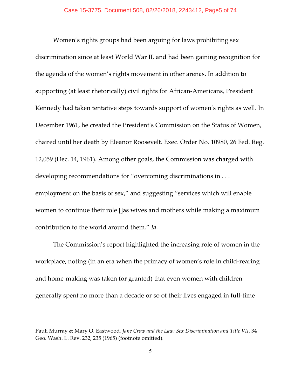Women's rights groups had been arguing for laws prohibiting sex discrimination since at least World War II, and had been gaining recognition for the agenda of the women's rights movement in other arenas. In addition to supporting (at least rhetorically) civil rights for African-Americans, President Kennedy had taken tentative steps towards support of women's rights as well. In December 1961, he created the President's Commission on the Status of Women, chaired until her death by Eleanor Roosevelt. Exec. Order No. 10980, 26 Fed. Reg. 12,059 (Dec. 14, 1961). Among other goals, the Commission was charged with developing recommendations for "overcoming discriminations in . . . employment on the basis of sex," and suggesting "services which will enable women to continue their role []as wives and mothers while making a maximum contribution to the world around them." *Id.*

The Commission's report highlighted the increasing role of women in the workplace, noting (in an era when the primacy of women's role in child-rearing and home-making was taken for granted) that even women with children generally spent no more than a decade or so of their lives engaged in full-time

Pauli Murray & Mary O. Eastwood*, Jane Crow and the Law: Sex Discrimination and Title VII*, 34 Geo. Wash. L. Rev. 232, 235 (1965) (footnote omitted).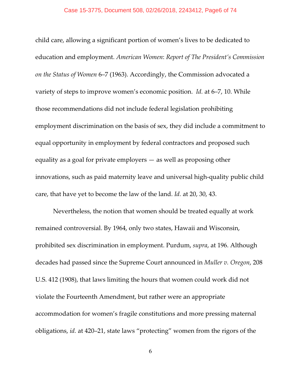child care, allowing a significant portion of women's lives to be dedicated to education and employment. *American Women*: *Report of The President's Commission on the Status of Women* 6–7 (1963). Accordingly, the Commission advocated a variety of steps to improve women's economic position. *Id.* at 6–7, 10. While those recommendations did not include federal legislation prohibiting employment discrimination on the basis of sex, they did include a commitment to equal opportunity in employment by federal contractors and proposed such equality as a goal for private employers — as well as proposing other innovations, such as paid maternity leave and universal high-quality public child care, that have yet to become the law of the land. *Id.* at 20, 30, 43.

Nevertheless, the notion that women should be treated equally at work remained controversial. By 1964, only two states, Hawaii and Wisconsin, prohibited sex discrimination in employment. Purdum, *supra*, at 196. Although decades had passed since the Supreme Court announced in *Muller v. Oregon*, 208 U.S. 412 (1908), that laws limiting the hours that women could work did not violate the Fourteenth Amendment, but rather were an appropriate accommodation for women's fragile constitutions and more pressing maternal obligations, *id.* at 420–21, state laws "protecting" women from the rigors of the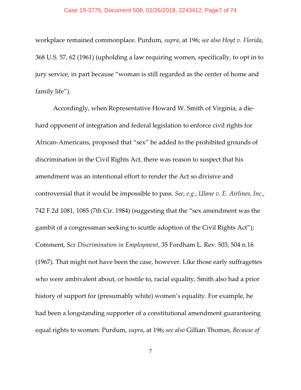workplace remained commonplace. Purdum, *supra*, at 196; *see also Hoyt v. Florida*, 368 U.S. 57, 62 (1961) (upholding a law requiring women, specifically, to opt in to jury service, in part because "woman is still regarded as the center of home and family life").

Accordingly, when Representative Howard W. Smith of Virginia, a diehard opponent of integration and federal legislation to enforce civil rights for African-Americans, proposed that "sex" be added to the prohibited grounds of discrimination in the Civil Rights Act, there was reason to suspect that his amendment was an intentional effort to render the Act so divisive and controversial that it would be impossible to pass. *See*, *e.g.*, *Ulane v. E. Airlines, Inc*., 742 F.2d 1081, 1085 (7th Cir. 1984) (suggesting that the "sex amendment was the gambit of a congressman seeking to scuttle adoption of the Civil Rights Act"); Comment, *Sex Discrimination in Employment*, 35 Fordham L. Rev. 503, 504 n.16 (1967). That might not have been the case, however. Like those early suffragettes who were ambivalent about, or hostile to, racial equality, Smith also had a prior history of support for (presumably white) women's equality. For example, he had been a longstanding supporter of a constitutional amendment guaranteeing equal rights to women. Purdum, *supra*, at 196; *see also* Gillian Thomas, *Because of*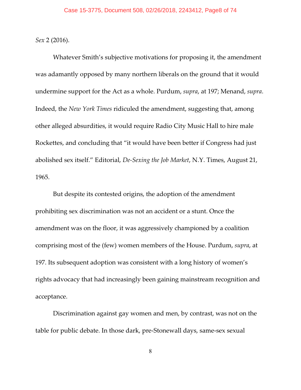*Sex* 2 (2016).

Whatever Smith's subjective motivations for proposing it, the amendment was adamantly opposed by many northern liberals on the ground that it would undermine support for the Act as a whole. Purdum, *supra*, at 197; Menand, *supra*. Indeed, the *New York Times* ridiculed the amendment, suggesting that, among other alleged absurdities, it would require Radio City Music Hall to hire male Rockettes, and concluding that "it would have been better if Congress had just abolished sex itself." Editorial, *De-Sexing the Job Market*, N.Y. Times, August 21, 1965.

But despite its contested origins, the adoption of the amendment prohibiting sex discrimination was not an accident or a stunt. Once the amendment was on the floor, it was aggressively championed by a coalition comprising most of the (few) women members of the House. Purdum, *supra*, at 197. Its subsequent adoption was consistent with a long history of women's rights advocacy that had increasingly been gaining mainstream recognition and acceptance.

Discrimination against gay women and men, by contrast, was not on the table for public debate. In those dark, pre-Stonewall days, same-sex sexual

8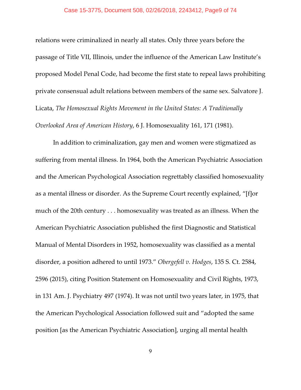relations were criminalized in nearly all states. Only three years before the passage of Title VII, Illinois, under the influence of the American Law Institute's proposed Model Penal Code, had become the first state to repeal laws prohibiting private consensual adult relations between members of the same sex. Salvatore J. Licata, *The Homosexual Rights Movement in the United States: A Traditionally Overlooked Area of American History*, 6 J. Homosexuality 161, 171 (1981).

In addition to criminalization, gay men and women were stigmatized as suffering from mental illness. In 1964, both the American Psychiatric Association and the American Psychological Association regrettably classified homosexuality as a mental illness or disorder. As the Supreme Court recently explained, "[f]or much of the 20th century . . . homosexuality was treated as an illness. When the American Psychiatric Association published the first Diagnostic and Statistical Manual of Mental Disorders in 1952, homosexuality was classified as a mental disorder, a position adhered to until 1973." *Obergefell v. Hodges*, 135 S. Ct. 2584, 2596 (2015), citing Position Statement on Homosexuality and Civil Rights, 1973, in 131 Am. J. Psychiatry 497 (1974). It was not until two years later, in 1975, that the American Psychological Association followed suit and "adopted the same position [as the American Psychiatric Association], urging all mental health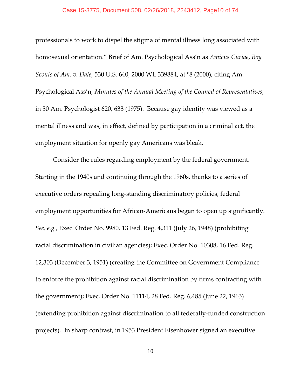#### Case 15-3775, Document 508, 02/26/2018, 2243412, Page10 of 74

professionals to work to dispel the stigma of mental illness long associated with homosexual orientation." Brief of Am. Psychological Ass'n as *Amicus Curiae*, *Boy Scouts of Am. v. Dale*, 530 U.S. 640, 2000 WL 339884, at \*8 (2000), citing Am. Psychological Ass'n, *Minutes of the Annual Meeting of the Council of Representatives*, in 30 Am. Psychologist 620, 633 (1975). Because gay identity was viewed as a mental illness and was, in effect, defined by participation in a criminal act, the employment situation for openly gay Americans was bleak.

Consider the rules regarding employment by the federal government. Starting in the 1940s and continuing through the 1960s, thanks to a series of executive orders repealing long-standing discriminatory policies, federal employment opportunities for African-Americans began to open up significantly. *See, e.g.*, Exec. Order No. 9980, 13 Fed. Reg. 4,311 (July 26, 1948) (prohibiting racial discrimination in civilian agencies); Exec. Order No. 10308, 16 Fed. Reg. 12,303 (December 3, 1951) (creating the Committee on Government Compliance to enforce the prohibition against racial discrimination by firms contracting with the government); Exec. Order No. 11114, 28 Fed. Reg. 6,485 (June 22, 1963) (extending prohibition against discrimination to all federally-funded construction projects). In sharp contrast, in 1953 President Eisenhower signed an executive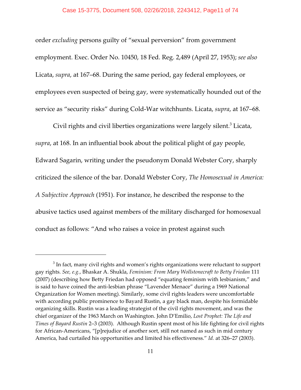## Case 15-3775, Document 508, 02/26/2018, 2243412, Page11 of 74

order *excluding* persons guilty of "sexual perversion" from government employment. Exec. Order No. 10450, 18 Fed. Reg. 2,489 (April 27, 1953); *see also* Licata, *supra*, at 167–68. During the same period, gay federal employees, or employees even suspected of being gay, were systematically hounded out of the service as "security risks" during Cold-War witchhunts. Licata, *supra*, at 167–68.

Civil rights and civil liberties organizations were largely silent.<sup>3</sup> Licata, *supra*, at 168. In an influential book about the political plight of gay people, Edward Sagarin, writing under the pseudonym Donald Webster Cory, sharply criticized the silence of the bar. Donald Webster Cory, *The Homosexual in America: A Subjective Approach* (1951). For instance, he described the response to the abusive tactics used against members of the military discharged for homosexual conduct as follows: "And who raises a voice in protest against such

 $^3$  In fact, many civil rights and women's rights organizations were reluctant to support gay rights. *See, e.g.*, Bhaskar A. Shukla, *Feminism: From Mary Wollstonecraft to Betty Friedan* 111 (2007) (describing how Betty Friedan had opposed "equating feminism with lesbianism," and is said to have coined the anti-lesbian phrase "Lavender Menace" during a 1969 National Organization for Women meeting). Similarly, some civil rights leaders were uncomfortable with according public prominence to Bayard Rustin, a gay black man, despite his formidable organizing skills. Rustin was a leading strategist of the civil rights movement, and was the chief organizer of the 1963 March on Washington. John D'Emilio, *Lost Prophet: The Life and Times of Bayard Rustin* 2–3 (2003). Although Rustin spent most of his life fighting for civil rights for African-Americans, "[p]rejudice of another sort, still not named as such in mid century America, had curtailed his opportunities and limited his effectiveness." *Id.* at 326–27 (2003).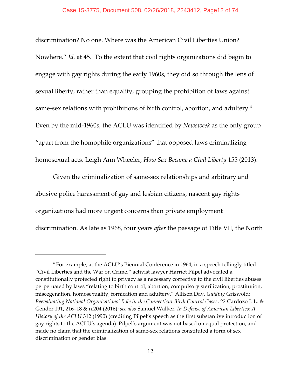discrimination? No one. Where was the American Civil Liberties Union? Nowhere." *Id.* at 45. To the extent that civil rights organizations did begin to engage with gay rights during the early 1960s, they did so through the lens of sexual liberty, rather than equality, grouping the prohibition of laws against same-sex relations with prohibitions of birth control, abortion, and adultery.<sup>4</sup> Even by the mid-1960s, the ACLU was identified by *Newsweek* as the only group "apart from the homophile organizations" that opposed laws criminalizing homosexual acts. Leigh Ann Wheeler, *How Sex Became a Civil Liberty* 155 (2013).

Given the criminalization of same-sex relationships and arbitrary and abusive police harassment of gay and lesbian citizens, nascent gay rights organizations had more urgent concerns than private employment discrimination. As late as 1968, four years *after* the passage of Title VII, the North

 $4$  For example, at the ACLU's Biennial Conference in 1964, in a speech tellingly titled "Civil Liberties and the War on Crime," activist lawyer Harriet Pilpel advocated a constitutionally protected right to privacy as a necessary corrective to the civil liberties abuses perpetuated by laws "relating to birth control, abortion, compulsory sterilization, prostitution, miscegenation, homosexuality, fornication and adultery." Allison Day, *Guiding* Griswold*: Reevaluating National Organizations' Role in the Connecticut Birth Control Cases*, 22 Cardozo J. L. & Gender 191, 216–18 & n.204 (2016); *see also* Samuel Walker, *In Defense of American Liberties: A History of the ACLU* 312 (1990) (crediting Pilpel's speech as the first substantive introduction of gay rights to the ACLU's agenda). Pilpel's argument was not based on equal protection, and made no claim that the criminalization of same-sex relations constituted a form of sex discrimination or gender bias.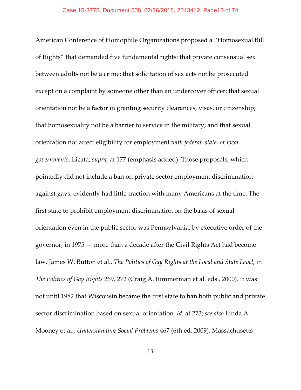American Conference of Homophile Organizations proposed a "Homosexual Bill of Rights" that demanded five fundamental rights: that private consensual sex between adults not be a crime; that solicitation of sex acts not be prosecuted except on a complaint by someone other than an undercover officer; that sexual orientation not be a factor in granting security clearances, visas, or citizenship; that homosexuality not be a barrier to service in the military; and that sexual orientation not affect eligibility for employment *with federal, state, or local governments*. Licata, *supra*, at 177 (emphasis added). Those proposals, which pointedly did not include a ban on private sector employment discrimination against gays, evidently had little traction with many Americans at the time. The first state to prohibit employment discrimination on the basis of sexual orientation even in the public sector was Pennsylvania, by executive order of the governor, in 1975 — more than a decade after the Civil Rights Act had become law. James W. Button et al., *The Politics of Gay Rights at the Local and State Level*, in *The Politics of Gay Rights* 269, 272 (Craig A. Rimmerman et al. eds., 2000). It was not until 1982 that Wisconsin became the first state to ban both public and private sector discrimination based on sexual orientation. *Id.* at 273; *see also* Linda A. Mooney et al., *Understanding Social Problems* 467 (6th ed. 2009). Massachusetts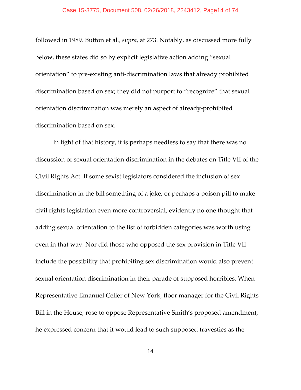#### Case 15-3775, Document 508, 02/26/2018, 2243412, Page14 of 74

followed in 1989. Button et al.*, supra*, at 273. Notably, as discussed more fully below, these states did so by explicit legislative action adding "sexual orientation" to pre-existing anti-discrimination laws that already prohibited discrimination based on sex; they did not purport to "recognize" that sexual orientation discrimination was merely an aspect of already-prohibited discrimination based on sex.

In light of that history, it is perhaps needless to say that there was no discussion of sexual orientation discrimination in the debates on Title VII of the Civil Rights Act. If some sexist legislators considered the inclusion of sex discrimination in the bill something of a joke, or perhaps a poison pill to make civil rights legislation even more controversial, evidently no one thought that adding sexual orientation to the list of forbidden categories was worth using even in that way. Nor did those who opposed the sex provision in Title VII include the possibility that prohibiting sex discrimination would also prevent sexual orientation discrimination in their parade of supposed horribles. When Representative Emanuel Celler of New York, floor manager for the Civil Rights Bill in the House, rose to oppose Representative Smith's proposed amendment, he expressed concern that it would lead to such supposed travesties as the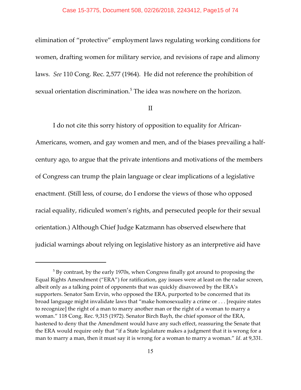elimination of "protective" employment laws regulating working conditions for women, drafting women for military service, and revisions of rape and alimony laws. *See* 110 Cong. Rec. 2,577 (1964). He did not reference the prohibition of sexual orientation discrimination.<sup>5</sup> The idea was nowhere on the horizon.

# II

I do not cite this sorry history of opposition to equality for African-Americans, women, and gay women and men, and of the biases prevailing a halfcentury ago, to argue that the private intentions and motivations of the members of Congress can trump the plain language or clear implications of a legislative enactment. (Still less, of course, do I endorse the views of those who opposed racial equality, ridiculed women's rights, and persecuted people for their sexual orientation.) Although Chief Judge Katzmann has observed elsewhere that judicial warnings about relying on legislative history as an interpretive aid have

 $^5$  By contrast, by the early 1970s, when Congress finally got around to proposing the Equal Rights Amendment ("ERA") for ratification, gay issues were at least on the radar screen, albeit only as a talking point of opponents that was quickly disavowed by the ERA's supporters. Senator Sam Ervin, who opposed the ERA, purported to be concerned that its broad language might invalidate laws that "make homosexuality a crime or . . . [require states to recognize] the right of a man to marry another man or the right of a woman to marry a woman." 118 Cong. Rec. 9,315 (1972). Senator Birch Bayh, the chief sponsor of the ERA, hastened to deny that the Amendment would have any such effect, reassuring the Senate that the ERA would require only that "if a State legislature makes a judgment that it is wrong for a man to marry a man, then it must say it is wrong for a woman to marry a woman." *Id*. at 9,331.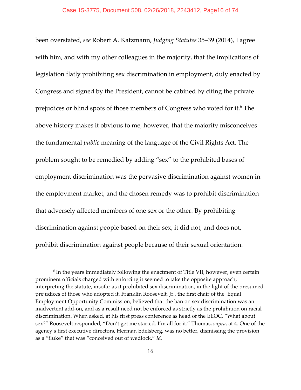been overstated, *see* Robert A. Katzmann, *Judging Statutes* 35–39 (2014), I agree with him, and with my other colleagues in the majority, that the implications of legislation flatly prohibiting sex discrimination in employment, duly enacted by Congress and signed by the President, cannot be cabined by citing the private prejudices or blind spots of those members of Congress who voted for it.<sup>6</sup> The above history makes it obvious to me, however, that the majority misconceives the fundamental *public* meaning of the language of the Civil Rights Act. The problem sought to be remedied by adding "sex" to the prohibited bases of employment discrimination was the pervasive discrimination against women in the employment market, and the chosen remedy was to prohibit discrimination that adversely affected members of one sex or the other. By prohibiting discrimination against people based on their sex, it did not, and does not, prohibit discrimination against people because of their sexual orientation.

 $6$  In the years immediately following the enactment of Title VII, however, even certain prominent officials charged with enforcing it seemed to take the opposite approach, interpreting the statute, insofar as it prohibited sex discrimination, in the light of the presumed prejudices of those who adopted it. Franklin Roosevelt, Jr., the first chair of the Equal Employment Opportunity Commission, believed that the ban on sex discrimination was an inadvertent add-on, and as a result need not be enforced as strictly as the prohibition on racial discrimination. When asked, at his first press conference as head of the EEOC, "What about sex?" Roosevelt responded, "Don't get me started. I'm all for it." Thomas, *supra*, at 4. One of the agency's first executive directors, Herman Edelsberg, was no better, dismissing the provision as a "fluke" that was "conceived out of wedlock." *Id.*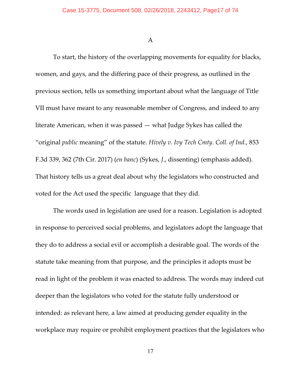A

To start, the history of the overlapping movements for equality for blacks, women, and gays, and the differing pace of their progress, as outlined in the previous section, tells us something important about what the language of Title VII must have meant to any reasonable member of Congress, and indeed to any literate American, when it was passed — what Judge Sykes has called the "original *public* meaning" of the statute. *Hively v. Ivy Tech Cmty. Coll. of Ind.*, 853 F.3d 339, 362 (7th Cir. 2017) (*en banc*) (Sykes, *J*., dissenting) (emphasis added). That history tells us a great deal about why the legislators who constructed and voted for the Act used the specific language that they did.

The words used in legislation are used for a reason. Legislation is adopted in response to perceived social problems, and legislators adopt the language that they do to address a social evil or accomplish a desirable goal. The words of the statute take meaning from that purpose, and the principles it adopts must be read in light of the problem it was enacted to address. The words may indeed cut deeper than the legislators who voted for the statute fully understood or intended: as relevant here, a law aimed at producing gender equality in the workplace may require or prohibit employment practices that the legislators who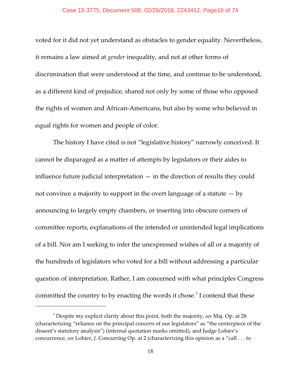### Case 15-3775, Document 508, 02/26/2018, 2243412, Page18 of 74

voted for it did not yet understand as obstacles to gender equality. Nevertheless, it remains a law aimed at *gender* inequality, and not at other forms of discrimination that were understood at the time, and continue to be understood, as a different kind of prejudice, shared not only by some of those who opposed the rights of women and African-Americans, but also by some who believed in equal rights for women and people of color.

The history I have cited is not "legislative history" narrowly conceived. It cannot be disparaged as a matter of attempts by legislators or their aides to influence future judicial interpretation  $-$  in the direction of results they could not convince a majority to support in the overt language of a statute  $-$  by announcing to largely empty chambers, or inserting into obscure corners of committee reports, explanations of the intended or unintended legal implications of a bill. Nor am I seeking to infer the unexpressed wishes of all or a majority of the hundreds of legislators who voted for a bill without addressing a particular question of interpretation. Rather, I am concerned with what principles Congress committed the country to by enacting the words it chose.<sup>7</sup> I contend that these

Despite my explicit clarity about this point, both the majority, *see* Maj. Op. at 28 <sup>7</sup> (characterizing "reliance on the principal concern of our legislators" as "the centerpiece of the dissent's statutory analysis") (internal quotation marks omitted), and Judge Lohier's concurrence, *see* Lohier, *J.* Concurring Op. at 2 (characterizing this opinion as a "call . . . to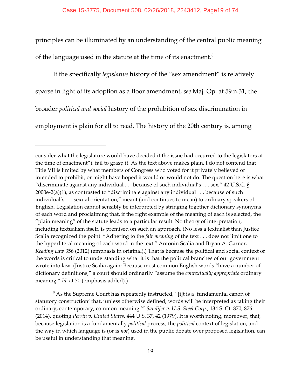principles can be illuminated by an understanding of the central public meaning of the language used in the statute at the time of its enactment.<sup>8</sup>

If the specifically *legislative* history of the "sex amendment" is relatively sparse in light of its adoption as a floor amendment, *see* Maj. Op. at 59 n.31, the broader *political and social* history of the prohibition of sex discrimination in employment is plain for all to read. The history of the 20th century is, among

 $8$  As the Supreme Court has repeatedly instructed, "[i]t is a 'fundamental canon of statutory construction' that, 'unless otherwise defined, words will be interpreted as taking their ordinary, contemporary, common meaning.'" *Sandifer v. U.S. Steel Corp*., 134 S. Ct. 870, 876 (2014), quoting *Perrin v. United States*, 444 U.S. 37, 42 (1979). It is worth noting, moreover, that, because legislation is a fundamentally *political* process, the *political* context of legislation, and the way in which language is (or is *not*) used in the public debate over proposed legislation, can be useful in understanding that meaning.

consider what the legislature would have decided if the issue had occurred to the legislators at the time of enactment"), fail to grasp it. As the text above makes plain, I do not contend that Title VII is limited by what members of Congress who voted for it privately believed or intended to prohibit, or might have hoped it would or would not do. The question here is what "discriminate against any individual . . . because of such individual's . . . sex," 42 U.S.C. § 2000e-2(a)(1), as contrasted to "discriminate against any individual  $\dots$  because of such individual's . . . sexual orientation," meant (and continues to mean) to ordinary speakers of English. Legislation cannot sensibly be interpreted by stringing together dictionary synonyms of each word and proclaiming that, if the right example of the meaning of each is selected, the "plain meaning" of the statute leads to a particular result. No theory of interpretation, including textualism itself, is premised on such an approach. (No less a textualist than Justice Scalia recognized the point: "Adhering to the *fair meaning* of the text . . . does not limit one to the hyperliteral meaning of each word in the text." Antonin Scalia and Bryan A. Garner, *Reading Law* 356 (2012) (emphasis in original).) That is because the political and social context of the words is critical to understanding what it is that the political branches of our government wrote into law. (Justice Scalia again: Because most common English words "have a number of dictionary definitions," a court should ordinarily "assume the *contextually appropriate* ordinary meaning." *Id*. at 70 (emphasis added).)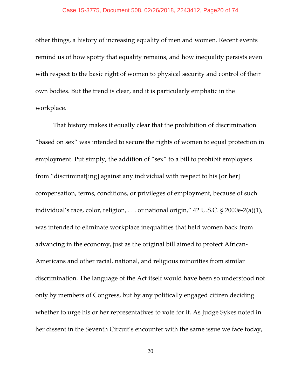#### Case 15-3775, Document 508, 02/26/2018, 2243412, Page20 of 74

other things, a history of increasing equality of men and women. Recent events remind us of how spotty that equality remains, and how inequality persists even with respect to the basic right of women to physical security and control of their own bodies. But the trend is clear, and it is particularly emphatic in the workplace.

That history makes it equally clear that the prohibition of discrimination "based on sex" was intended to secure the rights of women to equal protection in employment. Put simply, the addition of "sex" to a bill to prohibit employers from "discriminat[ing] against any individual with respect to his [or her] compensation, terms, conditions, or privileges of employment, because of such individual's race, color, religion, . . . or national origin," 42 U.S.C. § 2000e-2(a)(1), was intended to eliminate workplace inequalities that held women back from advancing in the economy, just as the original bill aimed to protect African-Americans and other racial, national, and religious minorities from similar discrimination. The language of the Act itself would have been so understood not only by members of Congress, but by any politically engaged citizen deciding whether to urge his or her representatives to vote for it. As Judge Sykes noted in her dissent in the Seventh Circuit's encounter with the same issue we face today,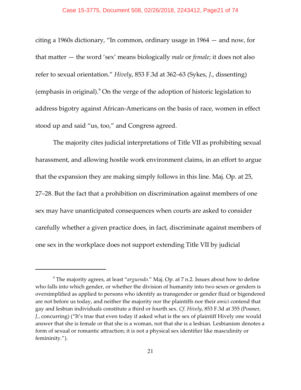citing a 1960s dictionary, "In common, ordinary usage in 1964 — and now, for that matter — the word 'sex' means biologically *male* or *female*; it does not also refer to sexual orientation." *Hively*, 853 F.3d at 362–63 (Sykes, *J*., dissenting) (emphasis in original). $9$  On the verge of the adoption of historic legislation to address bigotry against African-Americans on the basis of race, women in effect stood up and said "us, too," and Congress agreed.

The majority cites judicial interpretations of Title VII as prohibiting sexual harassment, and allowing hostile work environment claims, in an effort to argue that the expansion they are making simply follows in this line. Maj. Op. at 25, 27–28. But the fact that a prohibition on discrimination against members of one sex may have unanticipated consequences when courts are asked to consider carefully whether a given practice does, in fact, discriminate against members of one sex in the workplace does not support extending Title VII by judicial

The majority agrees, at least "*arguendo*." Maj. Op. at 7 n.2. Issues about how to define <sup>9</sup> who falls into which gender, or whether the division of humanity into two sexes or genders is oversimplified as applied to persons who identify as transgender or gender fluid or bigendered are not before us today, and neither the majority nor the plaintiffs nor their *amici* contend that gay and lesbian individuals constitute a third or fourth sex. *Cf. Hively*, 853 F.3d at 355 (Posner, *J.*, concurring) ("It's true that even today if asked what is the sex of plaintiff Hively one would answer that she is female or that she is a woman, not that she is a lesbian. Lesbianism denotes a form of sexual or romantic attraction; it is not a physical sex identifier like masculinity or femininity.").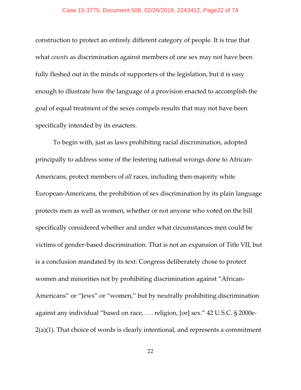construction to protect an entirely different category of people. It is true that what *counts* as discrimination against members of one sex may not have been fully fleshed out in the minds of supporters of the legislation, but it is easy enough to illustrate how the language of a provision enacted to accomplish the goal of equal treatment of the sexes compels results that may not have been specifically intended by its enacters.

To begin with, just as laws prohibiting racial discrimination, adopted principally to address some of the festering national wrongs done to African-Americans, protect members of *all* races, including then-majority white European-Americans, the prohibition of sex discrimination by its plain language protects men as well as women, whether or not anyone who voted on the bill specifically considered whether and under what circumstances men could be victims of gender-based discrimination. That is not an expansion of Title VII, but is a conclusion mandated by its text: Congress deliberately chose to protect women and minorities not by prohibiting discrimination against "African-Americans" or "Jews" or "women," but by neutrally prohibiting discrimination against any individual "based on race, . . . religion, [or] sex." 42 U.S.C. § 2000e-2(a)(1). That choice of words is clearly intentional, and represents a commitment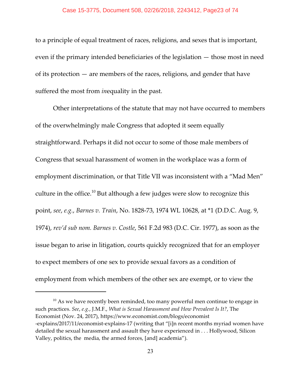#### Case 15-3775, Document 508, 02/26/2018, 2243412, Page23 of 74

to a principle of equal treatment of races, religions, and sexes that is important, even if the primary intended beneficiaries of the legislation — those most in need of its protection — are members of the races, religions, and gender that have suffered the most from *in*equality in the past.

Other interpretations of the statute that may not have occurred to members of the overwhelmingly male Congress that adopted it seem equally straightforward. Perhaps it did not occur to some of those male members of Congress that sexual harassment of women in the workplace was a form of employment discrimination, or that Title VII was inconsistent with a "Mad Men" culture in the office.<sup>10</sup> But although a few judges were slow to recognize this point, *see*, *e.g.*, *Barnes v. Train*, No. 1828-73, 1974 WL 10628, at \*1 (D.D.C. Aug. 9, 1974), *rev'd sub nom. Barnes v. Costle*, 561 F.2d 983 (D.C. Cir. 1977), as soon as the issue began to arise in litigation, courts quickly recognized that for an employer to expect members of one sex to provide sexual favors as a condition of employment from which members of the other sex are exempt, or to view the

 $10$  As we have recently been reminded, too many powerful men continue to engage in such practices. *See*, *e.g.*, J.M.F., *What is Sexual Harassment and How Prevalent Is It?*, The Economist (Nov. 24, 2017), https://www.economist.com/blogs/economist -explains/2017/11/economist-explains-17 (writing that "[i]n recent months myriad women have detailed the sexual harassment and assault they have experienced in . . . Hollywood, Silicon Valley, politics, the media, the armed forces, [and] academia").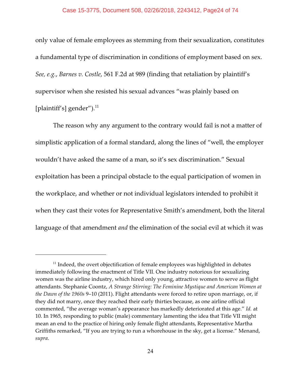only value of female employees as stemming from their sexualization, constitutes a fundamental type of discrimination in conditions of employment based on sex. *See, e.g.*, *Barnes v. Costle*, 561 F.2d at 989 (finding that retaliation by plaintiff's supervisor when she resisted his sexual advances "was plainly based on [plaintiff's] gender").<sup>11</sup>

The reason why any argument to the contrary would fail is not a matter of simplistic application of a formal standard, along the lines of "well, the employer wouldn't have asked the same of a man, so it's sex discrimination." Sexual exploitation has been a principal obstacle to the equal participation of women in the workplace, and whether or not individual legislators intended to prohibit it when they cast their votes for Representative Smith's amendment, both the literal language of that amendment *and* the elimination of the social evil at which it was

 $11$  Indeed, the overt objectification of female employees was highlighted in debates immediately following the enactment of Title VII. One industry notorious for sexualizing women was the airline industry, which hired only young, attractive women to serve as flight attendants. Stephanie Coontz, *A Strange Stirring: The Feminine Mystique and American Women at the Dawn of the 1960s* 9–10 (2011). Flight attendants were forced to retire upon marriage, or, if they did not marry, once they reached their early thirties because, as one airline official commented, "the average woman's appearance has markedly deteriorated at this age." *Id.* at 10. In 1965, responding to public (male) commentary lamenting the idea that Title VII might mean an end to the practice of hiring only female flight attendants, Representative Martha Griffiths remarked, "If you are trying to run a whorehouse in the sky, get a license." Menand, *supra*.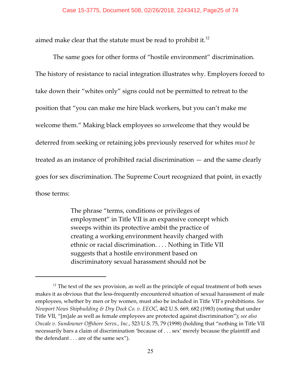aimed make clear that the statute must be read to prohibit it.<sup>12</sup>

The same goes for other forms of "hostile environment" discrimination. The history of resistance to racial integration illustrates why. Employers forced to take down their "whites only" signs could not be permitted to retreat to the position that "you can make me hire black workers, but you can't make me welcome them." Making black employees so *un*welcome that they would be deterred from seeking or retaining jobs previously reserved for whites *must be* treated as an instance of prohibited racial discrimination — and the same clearly goes for sex discrimination. The Supreme Court recognized that point, in exactly those terms:

> The phrase "terms, conditions or privileges of employment" in Title VII is an expansive concept which sweeps within its protective ambit the practice of creating a working environment heavily charged with ethnic or racial discrimination. . . . Nothing in Title VII suggests that a hostile environment based on discriminatory sexual harassment should not be

 $12$  The text of the sex provision, as well as the principle of equal treatment of both sexes makes it as obvious that the less-frequently encountered situation of sexual harassment of male employees, whether by men or by women, must also be included in Title VII's prohibitions. *See Newport News Shipbuilding & Dry Dock Co. v. EEOC*, 462 U.S. 669, 682 (1983) (noting that under Title VII, "[m]ale as well as female employees are protected against discrimination"); *see also Oncale v. Sundowner Offshore Servs., Inc.*, 523 U.S. 75, 79 (1998) (holding that "nothing in Title VII necessarily bars a claim of discrimination 'because of . . . sex' merely because the plaintiff and the defendant . . . are of the same sex").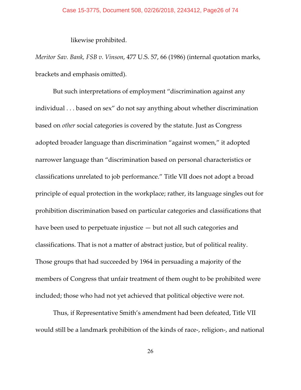likewise prohibited.

*Meritor Sav. Bank, FSB v. Vinson*, 477 U.S. 57, 66 (1986) (internal quotation marks, brackets and emphasis omitted).

But such interpretations of employment "discrimination against any individual . . . based on sex" do not say anything about whether discrimination based on *other* social categories is covered by the statute. Just as Congress adopted broader language than discrimination "against women," it adopted narrower language than "discrimination based on personal characteristics or classifications unrelated to job performance." Title VII does not adopt a broad principle of equal protection in the workplace; rather, its language singles out for prohibition discrimination based on particular categories and classifications that have been used to perpetuate injustice — but not all such categories and classifications. That is not a matter of abstract justice, but of political reality. Those groups that had succeeded by 1964 in persuading a majority of the members of Congress that unfair treatment of them ought to be prohibited were included; those who had not yet achieved that political objective were not.

Thus, if Representative Smith's amendment had been defeated, Title VII would still be a landmark prohibition of the kinds of race-, religion-, and national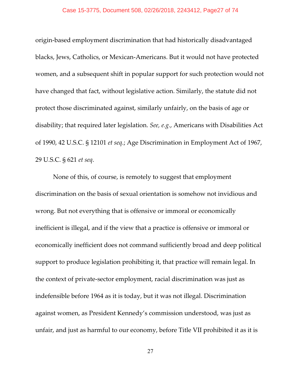#### Case 15-3775, Document 508, 02/26/2018, 2243412, Page27 of 74

origin-based employment discrimination that had historically disadvantaged blacks, Jews, Catholics, or Mexican-Americans. But it would not have protected women, and a subsequent shift in popular support for such protection would not have changed that fact, without legislative action. Similarly, the statute did not protect those discriminated against, similarly unfairly, on the basis of age or disability; that required later legislation. *See, e.g.*, Americans with Disabilities Act of 1990, 42 U.S.C. § 12101 *et seq*.; Age Discrimination in Employment Act of 1967, 29 U.S.C. § 621 *et seq*.

None of this, of course, is remotely to suggest that employment discrimination on the basis of sexual orientation is somehow not invidious and wrong. But not everything that is offensive or immoral or economically inefficient is illegal, and if the view that a practice is offensive or immoral or economically inefficient does not command sufficiently broad and deep political support to produce legislation prohibiting it, that practice will remain legal. In the context of private-sector employment, racial discrimination was just as indefensible before 1964 as it is today, but it was not illegal. Discrimination against women, as President Kennedy's commission understood, was just as unfair, and just as harmful to our economy, before Title VII prohibited it as it is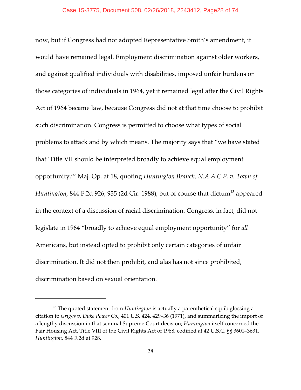now, but if Congress had not adopted Representative Smith's amendment, it would have remained legal. Employment discrimination against older workers, and against qualified individuals with disabilities, imposed unfair burdens on those categories of individuals in 1964, yet it remained legal after the Civil Rights Act of 1964 became law, because Congress did not at that time choose to prohibit such discrimination. Congress is permitted to choose what types of social problems to attack and by which means. The majority says that "we have stated that 'Title VII should be interpreted broadly to achieve equal employment opportunity,'" Maj. Op. at 18, quoting *Huntington Branch, N.A.A.C.P. v. Town of Huntington,* 844 F.2d 926*,* 935 (2d Cir. 1988)*,* but of course that dictum<sup>13</sup> appeared in the context of a discussion of racial discrimination. Congress, in fact, did not legislate in 1964 "broadly to achieve equal employment opportunity" for *all* Americans, but instead opted to prohibit only certain categories of unfair discrimination. It did not then prohibit, and alas has not since prohibited, discrimination based on sexual orientation.

<sup>&</sup>lt;sup>13</sup> The quoted statement from *Huntington* is actually a parenthetical squib glossing a citation to *Griggs v. Duke Power Co.*, 401 U.S. 424, 429–36 (1971), and summarizing the import of a lengthy discussion in that seminal Supreme Court decision; *Huntington* itself concerned the Fair Housing Act, Title VIII of the Civil Rights Act of 1968, codified at 42 U.S.C. §§ 3601–3631. *Huntington*, 844 F.2d at 928.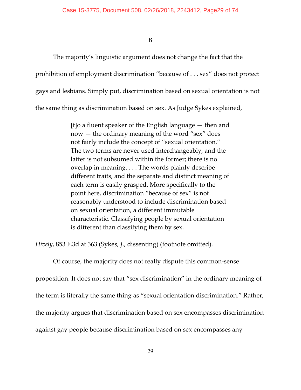B

The majority's linguistic argument does not change the fact that the prohibition of employment discrimination "because of . . . sex" does not protect gays and lesbians. Simply put, discrimination based on sexual orientation is not the same thing as discrimination based on sex. As Judge Sykes explained,

> [t]o a fluent speaker of the English language — then and now — the ordinary meaning of the word "sex" does not fairly include the concept of "sexual orientation." The two terms are never used interchangeably, and the latter is not subsumed within the former; there is no overlap in meaning. . . . The words plainly describe different traits, and the separate and distinct meaning of each term is easily grasped. More specifically to the point here, discrimination "because of sex" is not reasonably understood to include discrimination based on sexual orientation, a different immutable characteristic. Classifying people by sexual orientation is different than classifying them by sex.

*Hively*, 853 F.3d at 363 (Sykes, *J*., dissenting) (footnote omitted).

Of course, the majority does not really dispute this common-sense proposition. It does not say that "sex discrimination" in the ordinary meaning of the term is literally the same thing as "sexual orientation discrimination." Rather, the majority argues that discrimination based on sex encompasses discrimination against gay people because discrimination based on sex encompasses any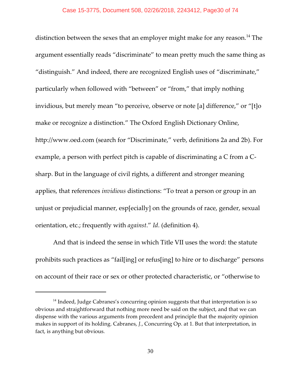distinction between the sexes that an employer might make for any reason.<sup>14</sup> The argument essentially reads "discriminate" to mean pretty much the same thing as "distinguish." And indeed, there are recognized English uses of "discriminate," particularly when followed with "between" or "from," that imply nothing invidious, but merely mean "to perceive, observe or note [a] difference," or "[t]o make or recognize a distinction." The Oxford English Dictionary Online, http://www.oed.com (search for "Discriminate," verb, definitions 2a and 2b). For example, a person with perfect pitch is capable of discriminating a C from a Csharp. But in the language of civil rights, a different and stronger meaning applies, that references *invidious* distinctions: "To treat a person or group in an unjust or prejudicial manner, esp[ecially] on the grounds of race, gender, sexual orientation, etc.; frequently with *against*." *Id*. (definition 4).

And that is indeed the sense in which Title VII uses the word: the statute prohibits such practices as "fail[ing] or refus[ing] to hire or to discharge" persons on account of their race or sex or other protected characteristic, or "otherwise to

 $14$  Indeed, Judge Cabranes's concurring opinion suggests that that interpretation is so obvious and straightforward that nothing more need be said on the subject, and that we can dispense with the various arguments from precedent and principle that the majority opinion makes in support of its holding. Cabranes, *J.*, Concurring Op. at 1. But that interpretation, in fact, is anything but obvious.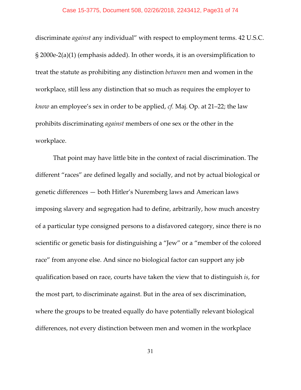#### Case 15-3775, Document 508, 02/26/2018, 2243412, Page31 of 74

discriminate *against* any individual" with respect to employment terms. 42 U.S.C. § 2000e-2(a)(1) (emphasis added). In other words, it is an oversimplification to treat the statute as prohibiting any distinction *between* men and women in the workplace, still less any distinction that so much as requires the employer to *know* an employee's sex in order to be applied, *cf.* Maj. Op. at 21–22; the law prohibits discriminating *against* members of one sex or the other in the workplace.

That point may have little bite in the context of racial discrimination. The different "races" are defined legally and socially, and not by actual biological or genetic differences — both Hitler's Nuremberg laws and American laws imposing slavery and segregation had to define, arbitrarily, how much ancestry of a particular type consigned persons to a disfavored category, since there is no scientific or genetic basis for distinguishing a "Jew" or a "member of the colored race" from anyone else. And since no biological factor can support any job qualification based on race, courts have taken the view that to distinguish *is*, for the most part, to discriminate against. But in the area of sex discrimination, where the groups to be treated equally do have potentially relevant biological differences, not every distinction between men and women in the workplace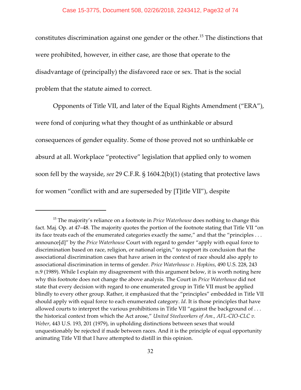### Case 15-3775, Document 508, 02/26/2018, 2243412, Page32 of 74

constitutes discrimination against one gender or the other.<sup>15</sup> The distinctions that were prohibited, however, in either case, are those that operate to the disadvantage of (principally) the disfavored race or sex. That is the social problem that the statute aimed to correct.

Opponents of Title VII, and later of the Equal Rights Amendment ("ERA"), were fond of conjuring what they thought of as unthinkable or absurd consequences of gender equality. Some of those proved not so unthinkable or absurd at all. Workplace "protective" legislation that applied only to women soon fell by the wayside, *see* 29 C.F.R. § 1604.2(b)(1) (stating that protective laws for women "conflict with and are superseded by [T]itle VII"), despite

<sup>&</sup>lt;sup>15</sup> The majority's reliance on a footnote in *Price Waterhouse* does nothing to change this fact. Maj. Op. at 47–48. The majority quotes the portion of the footnote stating that Title VII "on its face treats each of the enumerated categories exactly the same," and that the "principles . . . announce[d]" by the *Price Waterhouse* Court with regard to gender "apply with equal force to discrimination based on race, religion, or national origin," to support its conclusion that the associational discrimination cases that have arisen in the context of race should also apply to associational discrimination in terms of gender. *Price Waterhouse v. Hopkins*, 490 U.S. 228, 243 n.9 (1989). While I explain my disagreement with this argument below, it is worth noting here why this footnote does not change the above analysis. The Court in *Price Waterhouse* did not state that every decision with regard to one enumerated group in Title VII must be applied blindly to every other group. Rather, it emphasized that the "principles" embedded in Title VII should apply with equal force to each enumerated category. *Id*. It is those principles that have allowed courts to interpret the various prohibitions in Title VII "against the background of ... the historical context from which the Act arose," *United Steelworkers of Am., AFL-CIO-CLC v. Weber*, 443 U.S. 193, 201 (1979), in upholding distinctions between sexes that would unquestionably be rejected if made between races. And it is the principle of equal opportunity animating Title VII that I have attempted to distill in this opinion.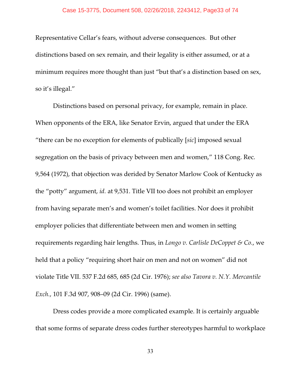#### Case 15-3775, Document 508, 02/26/2018, 2243412, Page33 of 74

Representative Cellar's fears, without adverse consequences. But other distinctions based on sex remain, and their legality is either assumed, or at a minimum requires more thought than just "but that's a distinction based on sex, so it's illegal."

Distinctions based on personal privacy, for example, remain in place. When opponents of the ERA, like Senator Ervin, argued that under the ERA "there can be no exception for elements of publically [*sic*] imposed sexual segregation on the basis of privacy between men and women," 118 Cong. Rec. 9,564 (1972), that objection was derided by Senator Marlow Cook of Kentucky as the "potty" argument, *id.* at 9,531. Title VII too does not prohibit an employer from having separate men's and women's toilet facilities. Nor does it prohibit employer policies that differentiate between men and women in setting requirements regarding hair lengths. Thus, in *Longo v. Carlisle DeCoppet & Co.*, we held that a policy "requiring short hair on men and not on women" did not violate Title VII. 537 F.2d 685, 685 (2d Cir. 1976); *see also Tavora v. N.Y. Mercantile Exch.*, 101 F.3d 907, 908–09 (2d Cir. 1996) (same).

Dress codes provide a more complicated example. It is certainly arguable that some forms of separate dress codes further stereotypes harmful to workplace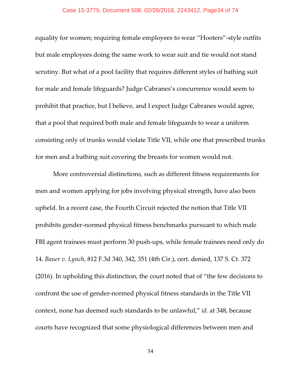## Case 15-3775, Document 508, 02/26/2018, 2243412, Page34 of 74

equality for women; requiring female employees to wear "Hooters"-style outfits but male employees doing the same work to wear suit and tie would not stand scrutiny. But what of a pool facility that requires different styles of bathing suit for male and female lifeguards? Judge Cabranes's concurrence would seem to prohibit that practice, but I believe, and I expect Judge Cabranes would agree, that a pool that required both male and female lifeguards to wear a uniform consisting only of trunks would violate Title VII, while one that prescribed trunks for men and a bathing suit covering the breasts for women would not.

More controversial distinctions, such as different fitness requirements for men and women applying for jobs involving physical strength, have also been upheld. In a recent case, the Fourth Circuit rejected the notion that Title VII prohibits gender-normed physical fitness benchmarks pursuant to which male FBI agent trainees must perform 30 push-ups, while female trainees need only do 14. *Bauer v. Lynch*, 812 F.3d 340, 342, 351 (4th Cir.), cert. denied, 137 S. Ct. 372 (2016). In upholding this distinction, the court noted that of "the few decisions to confront the use of gender-normed physical fitness standards in the Title VII context, none has deemed such standards to be unlawful," *id.* at 348, because courts have recognized that some physiological differences between men and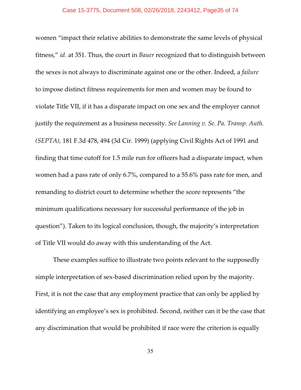women "impact their relative abilities to demonstrate the same levels of physical fitness," *id.* at 351. Thus, the court in *Bauer* recognized that to distinguish between the sexes is not always to discriminate against one or the other. Indeed, a *failure* to impose distinct fitness requirements for men and women may be found to violate Title VII, if it has a disparate impact on one sex and the employer cannot justify the requirement as a business necessity. *See Lanning v. Se. Pa. Transp. Auth. (SEPTA),* 181 F.3d 478, 494 (3d Cir. 1999) (applying Civil Rights Act of 1991 and finding that time cutoff for 1.5 mile run for officers had a disparate impact, when women had a pass rate of only 6.7%, compared to a 55.6% pass rate for men, and remanding to district court to determine whether the score represents "the minimum qualifications necessary for successful performance of the job in question"). Taken to its logical conclusion, though, the majority's interpretation of Title VII would do away with this understanding of the Act.

These examples suffice to illustrate two points relevant to the supposedly simple interpretation of sex-based discrimination relied upon by the majority. First, it is not the case that any employment practice that can only be applied by identifying an employee's sex is prohibited. Second, neither can it be the case that any discrimination that would be prohibited if race were the criterion is equally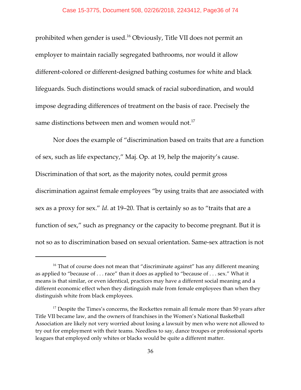prohibited when gender is used.<sup>16</sup> Obviously, Title VII does not permit an employer to maintain racially segregated bathrooms, nor would it allow different-colored or different-designed bathing costumes for white and black lifeguards. Such distinctions would smack of racial subordination, and would impose degrading differences of treatment on the basis of race. Precisely the same distinctions between men and women would not.<sup>17</sup>

Nor does the example of "discrimination based on traits that are a function of sex, such as life expectancy," Maj. Op. at 19, help the majority's cause. Discrimination of that sort, as the majority notes, could permit gross discrimination against female employees "by using traits that are associated with sex as a proxy for sex." *Id*. at 19–20. That is certainly so as to "traits that are a function of sex," such as pregnancy or the capacity to become pregnant. But it is not so as to discrimination based on sexual orientation. Same-sex attraction is not

 $16$  That of course does not mean that "discriminate against" has any different meaning as applied to "because of . . . race" than it does as applied to "because of . . . sex." What it means is that similar, or even identical, practices may have a different social meaning and a different economic effect when they distinguish male from female employees than when they distinguish white from black employees.

 $17$  Despite the Times's concerns, the Rockettes remain all female more than 50 years after Title VII became law, and the owners of franchises in the Women's National Basketball Association are likely not very worried about losing a lawsuit by men who were not allowed to try out for employment with their teams. Needless to say, dance troupes or professional sports leagues that employed only whites or blacks would be quite a different matter.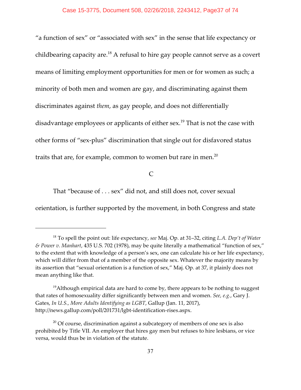"a function of sex" or "associated with sex" in the sense that life expectancy or childbearing capacity are. $^{18}$  A refusal to hire gay people cannot serve as a covert means of limiting employment opportunities for men or for women as such; a minority of both men and women are gay, and discriminating against them discriminates against *them*, as gay people, and does not differentially disadvantage employees or applicants of either sex.<sup>19</sup> That is not the case with other forms of "sex-plus" discrimination that single out for disfavored status traits that are, for example, common to women but rare in men.<sup>20</sup>

 $\mathcal{C}$ 

That "because of . . . sex" did not, and still does not, cover sexual

orientation, is further supported by the movement, in both Congress and state

<sup>&</sup>lt;sup>18</sup> To spell the point out: life expectancy, see Maj. Op. at 31-32, citing *L.A. Dep't of Water & Power v. Manhart*, 435 U.S. 702 (1978), may be quite literally a mathematical "function of sex," to the extent that with knowledge of a person's sex, one can calculate his or her life expectancy, which will differ from that of a member of the opposite sex. Whatever the majority means by its assertion that "sexual orientation is a function of sex," Maj. Op. at 37, it plainly does not mean anything like that.

 $^{19}$ Although empirical data are hard to come by, there appears to be nothing to suggest that rates of homosexuality differ significantly between men and women. *See, e.g.*, Gary J. Gates, *In U.S., More Adults Identifying as LGBT*, Gallup (Jan. 11, 2017), http://news.gallup.com/poll/201731/lgbt-identification-rises.aspx.

 $\alpha^{20}$  Of course, discrimination against a subcategory of members of one sex is also prohibited by Title VII. An employer that hires gay men but refuses to hire lesbians, or vice versa, would thus be in violation of the statute.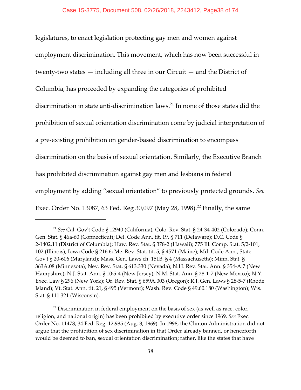legislatures, to enact legislation protecting gay men and women against employment discrimination. This movement, which has now been successful in twenty-two states — including all three in our Circuit — and the District of Columbia, has proceeded by expanding the categories of prohibited discrimination in state anti-discrimination laws. $^{21}$  In none of those states did the prohibition of sexual orientation discrimination come by judicial interpretation of a pre-existing prohibition on gender-based discrimination to encompass discrimination on the basis of sexual orientation. Similarly, the Executive Branch has prohibited discrimination against gay men and lesbians in federal employment by adding "sexual orientation" to previously protected grounds. *See* Exec. Order No. 13087, 63 Fed. Reg 30,097 (May 28, 1998).<sup>22</sup> Finally, the same

<sup>&</sup>lt;sup>21</sup> See Cal. Gov't Code § 12940 (California); Colo. Rev. Stat. § 24-34-402 (Colorado); Conn. Gen. Stat. § 46a-60 (Connecticut); Del. Code Ann. tit. 19, § 711 (Delaware); D.C. Code § 2-1402.11 (District of Columbia); Haw. Rev. Stat. § 378-2 (Hawaii); 775 Ill. Comp. Stat. 5/2-101, 102 (Illinois); Iowa Code § 216.6; Me. Rev. Stat. tit. 5, § 4571 (Maine); Md. Code Ann., State Gov't § 20-606 (Maryland); Mass. Gen. Laws ch. 151B, § 4 (Massachusetts); Minn. Stat. § 363A.08 (Minnesota); Nev. Rev. Stat. § 613.330 (Nevada); N.H. Rev. Stat. Ann. § 354-A:7 (New Hampshire); N.J. Stat. Ann. § 10:5-4 (New Jersey); N.M. Stat. Ann. § 28-1-7 (New Mexico); N.Y. Exec. Law § 296 (New York); Or. Rev. Stat. § 659A.003 (Oregon); R.I. Gen. Laws § 28-5-7 (Rhode Island); Vt. Stat. Ann. tit. 21, § 495 (Vermont); Wash. Rev. Code § 49.60.180 (Washington); Wis. Stat. § 111.321 (Wisconsin).

 $^{22}$  Discrimination in federal employment on the basis of sex (as well as race, color, religion, and national origin) has been prohibited by executive order since 1969. *See* Exec. Order No. 11478, 34 Fed. Reg. 12,985 (Aug. 8, 1969). In 1998, the Clinton Administration did not argue that the prohibition of sex discrimination in that Order already banned, or henceforth would be deemed to ban, sexual orientation discrimination; rather, like the states that have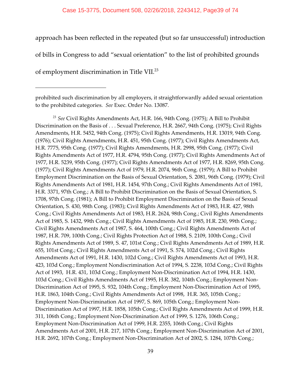### Case 15-3775, Document 508, 02/26/2018, 2243412, Page39 of 74

approach has been reflected in the repeated (but so far unsuccessful) introduction

of bills in Congress to add "sexual orientation" to the list of prohibited grounds

of employment discrimination in Title VII.<sup>23</sup>

prohibited such discrimination by all employers, it straightforwardly added sexual orientation to the prohibited categories. *See* Exec. Order No. 13087.

<sup>23</sup> See Civil Rights Amendments Act, H.R. 166, 94th Cong. (1975); A Bill to Prohibit Discrimination on the Basis of . . . Sexual Preference, H.R. 2667, 94th Cong. (1975); Civil Rights Amendments, H.R. 5452, 94th Cong. (1975); Civil Rights Amendments, H.R. 13019, 94th Cong. (1976); Civil Rights Amendments, H.R. 451, 95th Cong. (1977); Civil Rights Amendments Act, H.R. 7775, 95th Cong. (1977); Civil Rights Amendments, H.R. 2998, 95th Cong. (1977); Civil Rights Amendments Act of 1977, H.R. 4794, 95th Cong. (1977); Civil Rights Amendments Act of 1977, H.R. 5239, 95th Cong. (1977); Civil Rights Amendments Act of 1977, H.R. 8269, 95th Cong. (1977); Civil Rights Amendments Act of 1979, H.R. 2074, 96th Cong. (1979); A Bill to Prohibit Employment Discrimination on the Basis of Sexual Orientation, S. 2081, 96th Cong. (1979); Civil Rights Amendments Act of 1981, H.R. 1454, 97th Cong.; Civil Rights Amendments Act of 1981, H.R. 3371, 97th Cong.; A Bill to Prohibit Discrimination on the Basis of Sexual Orientation, S. 1708, 97th Cong. (1981); A Bill to Prohibit Employment Discrimination on the Basis of Sexual Orientation, S. 430, 98th Cong. (1983); Civil Rights Amendments Act of 1983, H.R. 427, 98th Cong.; Civil Rights Amendments Act of 1983, H.R. 2624, 98th Cong.; Civil Rights Amendments Act of 1985, S. 1432, 99th Cong.; Civil Rights Amendments Act of 1985, H.R. 230, 99th Cong.; Civil Rights Amendments Act of 1987, S. 464, 100th Cong.; Civil Rights Amendments Act of 1987, H.R. 709, 100th Cong.; Civil Rights Protection Act of 1988, S. 2109, 100th Cong.; Civil Rights Amendments Act of 1989, S. 47, 101st Cong.; Civil Rights Amendments Act of 1989, H.R. 655, 101st Cong.; Civil Rights Amendments Act of 1991, S. 574, 102d Cong.; Civil Rights Amendments Act of 1991, H.R. 1430, 102d Cong.; Civil Rights Amendments Act of 1993, H.R. 423, 103d Cong.; Employment Nondiscrimination Act of 1994, S. 2238, 103d Cong.; Civil Rights Act of 1993, H.R. 431, 103d Cong.; Employment Non-Discrimination Act of 1994, H.R. 1430, 103d Cong.; Civil Rights Amendments Act of 1995, H.R. 382, 104th Cong.; Employment Non-Discrimination Act of 1995, S. 932, 104th Cong.; Employment Non-Discrimination Act of 1995, H.R. 1863, 104th Cong.; Civil Rights Amendments Act of 1998, H.R. 365, 105th Cong.; Employment Non-Discrimination Act of 1997, S. 869, 105th Cong.; Employment Non-Discrimination Act of 1997, H.R. 1858, 105th Cong.; Civil Rights Amendments Act of 1999, H.R. 311, 106th Cong.; Employment Non-Discrimination Act of 1999, S. 1276, 106th Cong.; Employment Non-Discrimination Act of 1999, H.R. 2355, 106th Cong.; Civil Rights Amendments Act of 2001, H.R. 217, 107th Cong.; Employment Non-Discrimination Act of 2001, H.R. 2692, 107th Cong.; Employment Non-Discrimination Act of 2002, S. 1284, 107th Cong.;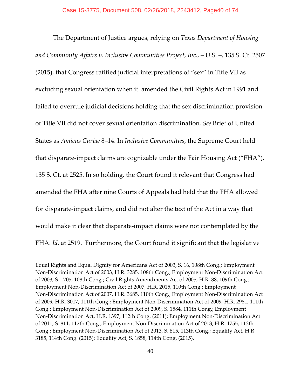The Department of Justice argues, relying on *Texas Department of Housing and Community Affairs v. Inclusive Communities Project, Inc.*, – U.S. –, 135 S. Ct. 2507 (2015), that Congress ratified judicial interpretations of "sex" in Title VII as excluding sexual orientation when it amended the Civil Rights Act in 1991 and failed to overrule judicial decisions holding that the sex discrimination provision of Title VII did not cover sexual orientation discrimination. *See* Brief of United States as *Amicus Curiae* 8–14. In *Inclusive Communities*, the Supreme Court held that disparate-impact claims are cognizable under the Fair Housing Act ("FHA"). 135 S. Ct. at 2525. In so holding, the Court found it relevant that Congress had amended the FHA after nine Courts of Appeals had held that the FHA allowed for disparate-impact claims, and did not alter the text of the Act in a way that would make it clear that disparate-impact claims were not contemplated by the FHA. *Id.* at 2519. Furthermore, the Court found it significant that the legislative

Equal Rights and Equal Dignity for Americans Act of 2003, S. 16, 108th Cong.; Employment Non-Discrimination Act of 2003, H.R. 3285, 108th Cong.; Employment Non-Discrimination Act of 2003, S. 1705, 108th Cong.; Civil Rights Amendments Act of 2005, H.R. 88, 109th Cong.; Employment Non-Discrimination Act of 2007, H.R. 2015, 110th Cong.; Employment Non-Discrimination Act of 2007, H.R. 3685, 110th Cong.; Employment Non-Discrimination Act of 2009, H.R. 3017, 111th Cong.; Employment Non-Discrimination Act of 2009, H.R. 2981, 111th Cong.; Employment Non-Discrimination Act of 2009, S. 1584, 111th Cong.; Employment Non-Discrimination Act, H.R. 1397, 112th Cong. (2011); Employment Non-Discrimination Act of 2011, S. 811, 112th Cong.; Employment Non-Discrimination Act of 2013, H.R. 1755, 113th Cong.; Employment Non-Discrimination Act of 2013, S. 815, 113th Cong.; Equality Act, H.R. 3185, 114th Cong. (2015); Equality Act, S. 1858, 114th Cong. (2015).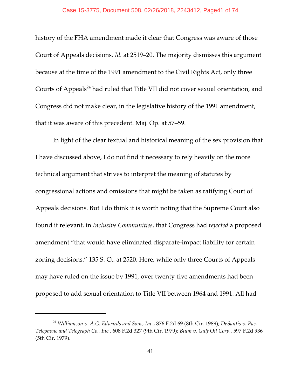### Case 15-3775, Document 508, 02/26/2018, 2243412, Page41 of 74

history of the FHA amendment made it clear that Congress was aware of those Court of Appeals decisions. *Id.* at 2519–20. The majority dismisses this argument because at the time of the 1991 amendment to the Civil Rights Act, only three Courts of Appeals<sup>24</sup> had ruled that Title VII did not cover sexual orientation, and Congress did not make clear, in the legislative history of the 1991 amendment, that it was aware of this precedent. Maj. Op. at 57–59.

In light of the clear textual and historical meaning of the sex provision that I have discussed above, I do not find it necessary to rely heavily on the more technical argument that strives to interpret the meaning of statutes by congressional actions and omissions that might be taken as ratifying Court of Appeals decisions. But I do think it is worth noting that the Supreme Court also found it relevant, in *Inclusive Communities*, that Congress had *rejected* a proposed amendment "that would have eliminated disparate-impact liability for certain zoning decisions." 135 S. Ct. at 2520. Here, while only three Courts of Appeals may have ruled on the issue by 1991, over twenty-five amendments had been proposed to add sexual orientation to Title VII between 1964 and 1991. All had

*Williamson v. A.G. Edwards and Sons, Inc.*, 876 F.2d 69 (8th Cir. 1989); *DeSantis v. Pac.* <sup>24</sup> *Telephone and Telegraph Co., Inc.*, 608 F.2d 327 (9th Cir. 1979); *Blum v. Gulf Oil Corp.*, 597 F.2d 936 (5th Cir. 1979).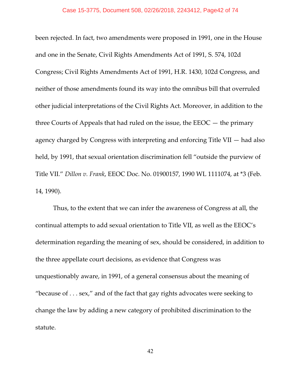### Case 15-3775, Document 508, 02/26/2018, 2243412, Page42 of 74

been rejected. In fact, two amendments were proposed in 1991, one in the House and one in the Senate, Civil Rights Amendments Act of 1991, S. 574, 102d Congress; Civil Rights Amendments Act of 1991, H.R. 1430, 102d Congress, and neither of those amendments found its way into the omnibus bill that overruled other judicial interpretations of the Civil Rights Act. Moreover, in addition to the three Courts of Appeals that had ruled on the issue, the  $EEOC -$  the primary agency charged by Congress with interpreting and enforcing Title VII — had also held, by 1991, that sexual orientation discrimination fell "outside the purview of Title VII." *Dillon v. Frank*, EEOC Doc. No. 01900157, 1990 WL 1111074, at \*3 (Feb. 14, 1990).

Thus, to the extent that we can infer the awareness of Congress at all, the continual attempts to add sexual orientation to Title VII, as well as the EEOC's determination regarding the meaning of sex, should be considered, in addition to the three appellate court decisions, as evidence that Congress was unquestionably aware, in 1991, of a general consensus about the meaning of "because of  $\dots$  sex," and of the fact that gay rights advocates were seeking to change the law by adding a new category of prohibited discrimination to the statute.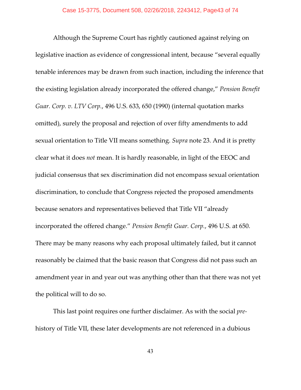Although the Supreme Court has rightly cautioned against relying on legislative inaction as evidence of congressional intent, because "several equally tenable inferences may be drawn from such inaction, including the inference that the existing legislation already incorporated the offered change," *Pension Benefit Guar. Corp. v. LTV Corp.*, 496 U.S. 633, 650 (1990) (internal quotation marks omitted), surely the proposal and rejection of over fifty amendments to add sexual orientation to Title VII means something. *Supra* note 23. And it is pretty clear what it does *not* mean. It is hardly reasonable, in light of the EEOC and judicial consensus that sex discrimination did not encompass sexual orientation discrimination, to conclude that Congress rejected the proposed amendments because senators and representatives believed that Title VII "already incorporated the offered change." *Pension Benefit Guar. Corp.*, 496 U.S. at 650. There may be many reasons why each proposal ultimately failed, but it cannot reasonably be claimed that the basic reason that Congress did not pass such an amendment year in and year out was anything other than that there was not yet the political will to do so.

This last point requires one further disclaimer. As with the social *pre*history of Title VII, these later developments are not referenced in a dubious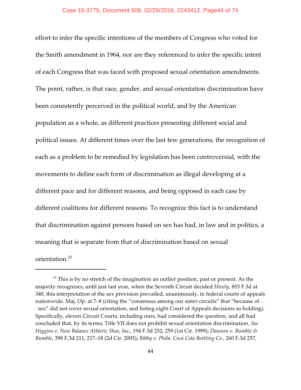effort to infer the specific intentions of the members of Congress who voted for the Smith amendment in 1964, nor are they referenced to infer the specific intent of each Congress that was faced with proposed sexual orientation amendments. The point, rather, is that race, gender, and sexual orientation discrimination have been consistently perceived in the political world, and by the American population as a whole, as different practices presenting different social and political issues. At different times over the last few generations, the recognition of each as a problem to be remedied by legislation has been controversial, with the movements to define each form of discrimination as illegal developing at a different pace and for different reasons, and being opposed in each case by different coalitions for different reasons. To recognize this fact is to understand that discrimination against persons based on sex has had, in law and in politics, a meaning that is separate from that of discrimination based on sexual orientation.<sup>25</sup>

 $25$  This is by no stretch of the imagination an outlier position, past or present. As the majority recognizes, until just last year, when the Seventh Circuit decided *Hively,* 853 F.3d at 340, this interpretation of the sex provision prevailed, unanimously, in federal courts of appeals nationwide. Maj. Op. at 7–8 (citing the "consensus among our sister circuits" that "because of . . . sex" did not cover sexual orientation, and listing eight Court of Appeals decisions so holding). Specifically, eleven Circuit Courts, including ours, had considered the question, and all had concluded that, by its terms, Title VII does not prohibit sexual orientation discrimination. *See Higgins v. New Balance Athletic Shoe, Inc.*, 194 F.3d 252, 259 (1st Cir. 1999); *Dawson v. Bumble & Bumble*, 398 F.3d 211, 217–18 (2d Cir. 2005); *Bibby v. Phila. Coca Cola Bottling Co.*, 260 F.3d 257,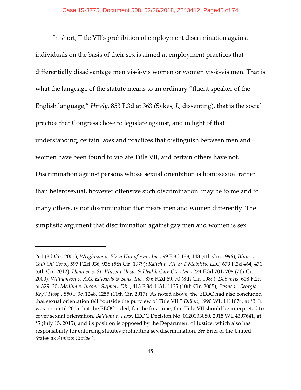In short, Title VII's prohibition of employment discrimination against individuals on the basis of their sex is aimed at employment practices that differentially disadvantage men vis-à-vis women or women vis-à-vis men. That is what the language of the statute means to an ordinary "fluent speaker of the English language," *Hively*, 853 F.3d at 363 (Sykes, *J*., dissenting), that is the social practice that Congress chose to legislate against, and in light of that understanding, certain laws and practices that distinguish between men and women have been found to violate Title VII, and certain others have not. Discrimination against persons whose sexual orientation is homosexual rather than heterosexual, however offensive such discrimination may be to me and to many others, is not discrimination that treats men and women differently. The simplistic argument that discrimination against gay men and women is sex

<sup>261 (3</sup>d Cir. 2001); *Wrightson v. Pizza Hut of Am., Inc.*, 99 F.3d 138, 143 (4th Cir. 1996); *Blum v. Gulf Oil Corp.*, 597 F.2d 936, 938 (5th Cir. 1979); *Kalich v. AT & T Mobility, LLC*, 679 F.3d 464, 471 (6th Cir. 2012); *Hamner v. St. Vincent Hosp. & Health Care Ctr., Inc.*, 224 F.3d 701, 708 (7th Cir. 2000); *Williamson v. A.G. Edwards & Sons, Inc.*, 876 F.2d 69, 70 (8th Cir. 1989); *DeSantis*, 608 F.2d at 329–30; *Medina v. Income Support Div.*, 413 F.3d 1131, 1135 (10th Cir. 2005); *Evans v. Georgia Reg'l Hosp.*, 850 F.3d 1248, 1255 (11th Cir. 2017). As noted above, the EEOC had also concluded that sexual orientation fell "outside the purview of Title VII." *Dillon*, 1990 WL 1111074, at \*3. It was not until 2015 that the EEOC ruled, for the first time, that Title VII should be interpreted to cover sexual orientation, *Baldwin v. Foxx*, EEOC Decision No. 0120133080, 2015 WL 4397641, at \*5 (July 15, 2015), and its position is opposed by the Department of Justice, which also has responsibility for enforcing statutes prohibiting sex discrimination. *See* Brief of the United States as *Amicus Curiae* 1.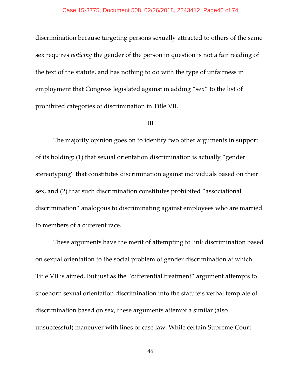discrimination because targeting persons sexually attracted to others of the same sex requires *noticing* the gender of the person in question is not a fair reading of the text of the statute, and has nothing to do with the type of unfairness in employment that Congress legislated against in adding "sex" to the list of prohibited categories of discrimination in Title VII.

# III

The majority opinion goes on to identify two other arguments in support of its holding: (1) that sexual orientation discrimination is actually "gender stereotyping" that constitutes discrimination against individuals based on their sex, and (2) that such discrimination constitutes prohibited "associational discrimination" analogous to discriminating against employees who are married to members of a different race.

These arguments have the merit of attempting to link discrimination based on sexual orientation to the social problem of gender discrimination at which Title VII is aimed. But just as the "differential treatment" argument attempts to shoehorn sexual orientation discrimination into the statute's verbal template of discrimination based on sex, these arguments attempt a similar (also unsuccessful) maneuver with lines of case law. While certain Supreme Court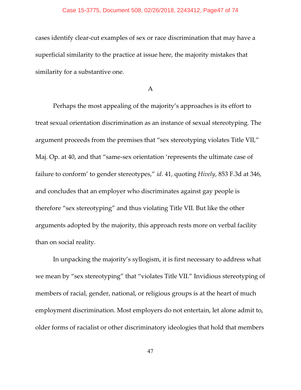# Case 15-3775, Document 508, 02/26/2018, 2243412, Page47 of 74

cases identify clear-cut examples of sex or race discrimination that may have a superficial similarity to the practice at issue here, the majority mistakes that similarity for a substantive one.

# A

Perhaps the most appealing of the majority's approaches is its effort to treat sexual orientation discrimination as an instance of sexual stereotyping. The argument proceeds from the premises that "sex stereotyping violates Title VII," Maj. Op. at 40, and that "same-sex orientation 'represents the ultimate case of failure to conform' to gender stereotypes," *id*. 41, quoting *Hively*, 853 F.3d at 346, and concludes that an employer who discriminates against gay people is therefore "sex stereotyping" and thus violating Title VII. But like the other arguments adopted by the majority, this approach rests more on verbal facility than on social reality.

In unpacking the majority's syllogism, it is first necessary to address what we mean by "sex stereotyping" that "violates Title VII." Invidious stereotyping of members of racial, gender, national, or religious groups is at the heart of much employment discrimination. Most employers do not entertain, let alone admit to, older forms of racialist or other discriminatory ideologies that hold that members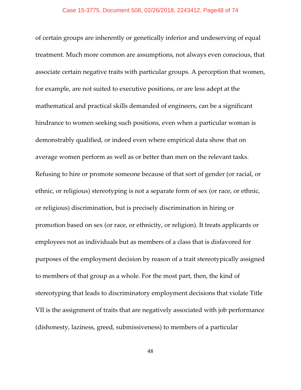### Case 15-3775, Document 508, 02/26/2018, 2243412, Page48 of 74

of certain groups are inherently or genetically inferior and undeserving of equal treatment. Much more common are assumptions, not always even conscious, that associate certain negative traits with particular groups. A perception that women, for example, are not suited to executive positions, or are less adept at the mathematical and practical skills demanded of engineers, can be a significant hindrance to women seeking such positions, even when a particular woman is demonstrably qualified, or indeed even where empirical data show that on average women perform as well as or better than men on the relevant tasks. Refusing to hire or promote someone because of that sort of gender (or racial, or ethnic, or religious) stereotyping is not a separate form of sex (or race, or ethnic, or religious) discrimination, but is precisely discrimination in hiring or promotion based on sex (or race, or ethnicity, or religion). It treats applicants or employees not as individuals but as members of a class that is disfavored for purposes of the employment decision by reason of a trait stereotypically assigned to members of that group as a whole. For the most part, then, the kind of stereotyping that leads to discriminatory employment decisions that violate Title VII is the assignment of traits that are negatively associated with job performance (dishonesty, laziness, greed, submissiveness) to members of a particular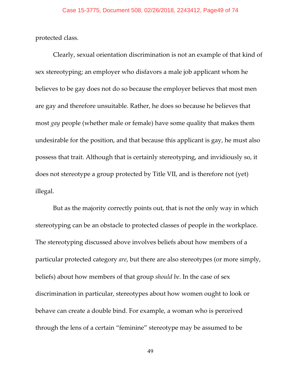protected class.

Clearly, sexual orientation discrimination is not an example of that kind of sex stereotyping; an employer who disfavors a male job applicant whom he believes to be gay does not do so because the employer believes that most men are gay and therefore unsuitable. Rather, he does so because he believes that most *gay* people (whether male or female) have some quality that makes them undesirable for the position, and that because this applicant is gay, he must also possess that trait. Although that is certainly stereotyping, and invidiously so, it does not stereotype a group protected by Title VII, and is therefore not (yet) illegal.

But as the majority correctly points out, that is not the only way in which stereotyping can be an obstacle to protected classes of people in the workplace. The stereotyping discussed above involves beliefs about how members of a particular protected category *are*, but there are also stereotypes (or more simply, beliefs) about how members of that group *should be*. In the case of sex discrimination in particular, stereotypes about how women ought to look or behave can create a double bind. For example, a woman who is perceived through the lens of a certain "feminine" stereotype may be assumed to be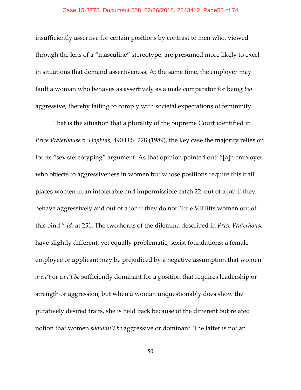### Case 15-3775, Document 508, 02/26/2018, 2243412, Page50 of 74

insufficiently assertive for certain positions by contrast to men who, viewed through the lens of a "masculine" stereotype, are presumed more likely to excel in situations that demand assertiveness. At the same time, the employer may fault a woman who behaves as assertively as a male comparator for being *too* aggressive, thereby failing to comply with societal expectations of femininity.

That is the situation that a plurality of the Supreme Court identified in *Price Waterhouse v. Hopkins*, 490 U.S. 228 (1989), the key case the majority relies on for its "sex stereotyping" argument. As that opinion pointed out, "[a]n employer who objects to aggressiveness in women but whose positions require this trait places women in an intolerable and impermissible catch 22: out of a job if they behave aggressively and out of a job if they do not. Title VII lifts women out of this bind." *Id*. at 251. The two horns of the dilemma described in *Price Waterhouse* have slightly different, yet equally problematic, sexist foundations: a female employee or applicant may be prejudiced by a negative assumption that women *aren't* or *can't be* sufficiently dominant for a position that requires leadership or strength or aggression, but when a woman unquestionably does show the putatively desired traits, she is held back because of the different but related notion that women *shouldn't be* aggressive or dominant. The latter is not an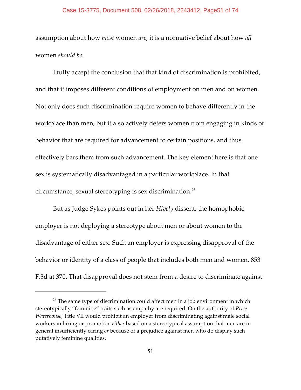## Case 15-3775, Document 508, 02/26/2018, 2243412, Page51 of 74

assumption about how *most* women *are*, it is a normative belief about how *all* women *should be*.

I fully accept the conclusion that that kind of discrimination is prohibited, and that it imposes different conditions of employment on men and on women. Not only does such discrimination require women to behave differently in the workplace than men, but it also actively deters women from engaging in kinds of behavior that are required for advancement to certain positions, and thus effectively bars them from such advancement. The key element here is that one sex is systematically disadvantaged in a particular workplace. In that circumstance, sexual stereotyping is sex discrimination.<sup>26</sup>

But as Judge Sykes points out in her *Hively* dissent, the homophobic employer is not deploying a stereotype about men or about women to the disadvantage of either sex. Such an employer is expressing disapproval of the behavior or identity of a class of people that includes both men and women. 853 F.3d at 370. That disapproval does not stem from a desire to discriminate against

 $26$  The same type of discrimination could affect men in a job environment in which stereotypically "feminine" traits such as empathy are required. On the authority of *Price Waterhouse*, Title VII would prohibit an employer from discriminating against male social workers in hiring or promotion *either* based on a stereotypical assumption that men are in general insufficiently caring *or* because of a prejudice against men who do display such putatively feminine qualities.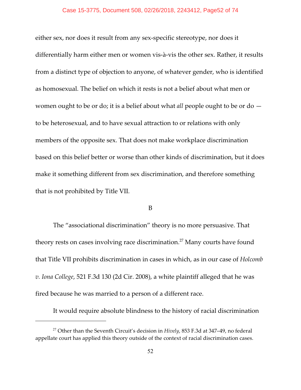### Case 15-3775, Document 508, 02/26/2018, 2243412, Page52 of 74

either sex, nor does it result from any sex-specific stereotype, nor does it differentially harm either men or women vis-à-vis the other sex. Rather, it results from a distinct type of objection to anyone, of whatever gender, who is identified as homosexual. The belief on which it rests is not a belief about what men or women ought to be or do; it is a belief about what *all* people ought to be or do to be heterosexual, and to have sexual attraction to or relations with only members of the opposite sex. That does not make workplace discrimination based on this belief better or worse than other kinds of discrimination, but it does make it something different from sex discrimination, and therefore something that is not prohibited by Title VII.

# B

The "associational discrimination" theory is no more persuasive. That theory rests on cases involving race discrimination.<sup>27</sup> Many courts have found that Title VII prohibits discrimination in cases in which, as in our case of *Holcomb v. Iona College*, 521 F.3d 130 (2d Cir. 2008), a white plaintiff alleged that he was fired because he was married to a person of a different race.

It would require absolute blindness to the history of racial discrimination

<sup>&</sup>lt;sup>27</sup> Other than the Seventh Circuit's decision in *Hively*, 853 F.3d at 347-49, no federal appellate court has applied this theory outside of the context of racial discrimination cases.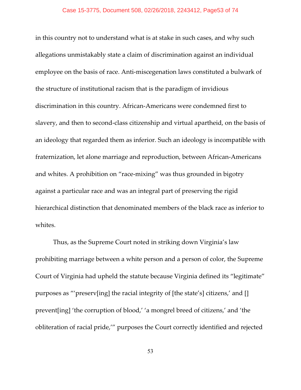in this country not to understand what is at stake in such cases, and why such allegations unmistakably state a claim of discrimination against an individual employee on the basis of race. Anti-miscegenation laws constituted a bulwark of the structure of institutional racism that is the paradigm of invidious discrimination in this country. African-Americans were condemned first to slavery, and then to second-class citizenship and virtual apartheid, on the basis of an ideology that regarded them as inferior. Such an ideology is incompatible with fraternization, let alone marriage and reproduction, between African-Americans and whites. A prohibition on "race-mixing" was thus grounded in bigotry against a particular race and was an integral part of preserving the rigid hierarchical distinction that denominated members of the black race as inferior to whites.

Thus, as the Supreme Court noted in striking down Virginia's law prohibiting marriage between a white person and a person of color, the Supreme Court of Virginia had upheld the statute because Virginia defined its "legitimate" purposes as "'preserv[ing] the racial integrity of [the state's] citizens,' and [] prevent[ing] 'the corruption of blood,' 'a mongrel breed of citizens,' and 'the obliteration of racial pride,'" purposes the Court correctly identified and rejected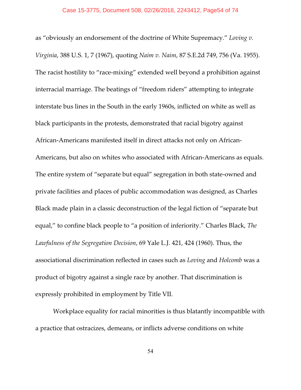as "obviously an endorsement of the doctrine of White Supremacy." *Loving v. Virginia*, 388 U.S. 1, 7 (1967), quoting *Naim v. Naim*, 87 S.E.2d 749, 756 (Va. 1955). The racist hostility to "race-mixing" extended well beyond a prohibition against interracial marriage. The beatings of "freedom riders" attempting to integrate interstate bus lines in the South in the early 1960s, inflicted on white as well as black participants in the protests, demonstrated that racial bigotry against African-Americans manifested itself in direct attacks not only on African-Americans, but also on whites who associated with African-Americans as equals. The entire system of "separate but equal" segregation in both state-owned and private facilities and places of public accommodation was designed, as Charles Black made plain in a classic deconstruction of the legal fiction of "separate but equal," to confine black people to "a position of inferiority." Charles Black, *The Lawfulness of the Segregation Decision*, 69 Yale L.J. 421, 424 (1960). Thus, the associational discrimination reflected in cases such as *Loving* and *Holcomb* was a product of bigotry against a single race by another. That discrimination is expressly prohibited in employment by Title VII.

Workplace equality for racial minorities is thus blatantly incompatible with a practice that ostracizes, demeans, or inflicts adverse conditions on white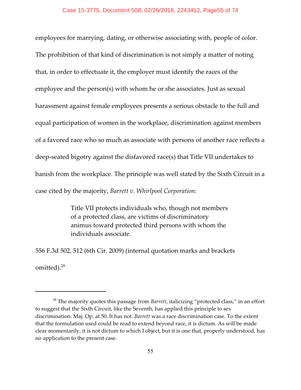employees for marrying, dating, or otherwise associating with, people of color. The prohibition of that kind of discrimination is not simply a matter of noting that, in order to effectuate it, the employer must identify the races of the employee and the person(s) with whom he or she associates. Just as sexual harassment against female employees presents a serious obstacle to the full and equal participation of women in the workplace, discrimination against members of a favored race who so much as associate with persons of another race reflects a deep-seated bigotry against the disfavored race(s) that Title VII undertakes to banish from the workplace. The principle was well stated by the Sixth Circuit in a case cited by the majority, *Barrett v. Whirlpool Corporation*:

> Title VII protects individuals who, though not members of a protected class, are victims of discriminatory animus toward protected third persons with whom the individuals associate.

556 F.3d 502, 512 (6th Cir. 2009) (internal quotation marks and brackets omitted).<sup>28</sup>

<sup>&</sup>lt;sup>28</sup> The majority quotes this passage from *Barrett,* italicizing "protected class," in an effort to suggest that the Sixth Circuit, like the Seventh, has applied this principle to sex discrimination. Maj. Op. at 50. It has not. *Barrett* was a race discrimination case. To the extent that the formulation used could be read to extend beyond race, it is dictum. As will be made clear momentarily, it is not dictum to which I object, but it is one that, properly understood, has no application to the present case.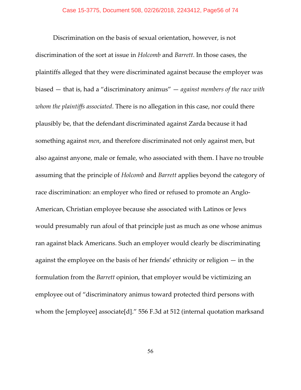Discrimination on the basis of sexual orientation, however, is not discrimination of the sort at issue in *Holcomb* and *Barrett*. In those cases, the plaintiffs alleged that they were discriminated against because the employer was biased — that is, had a "discriminatory animus" — *against members of the race with whom the plaintiffs associated*. There is no allegation in this case, nor could there plausibly be, that the defendant discriminated against Zarda because it had something against *men*, and therefore discriminated not only against men, but also against anyone, male or female, who associated with them. I have no trouble assuming that the principle of *Holcomb* and *Barrett* applies beyond the category of race discrimination: an employer who fired or refused to promote an Anglo-American, Christian employee because she associated with Latinos or Jews would presumably run afoul of that principle just as much as one whose animus ran against black Americans. Such an employer would clearly be discriminating against the employee on the basis of her friends' ethnicity or religion — in the formulation from the *Barrett* opinion, that employer would be victimizing an employee out of "discriminatory animus toward protected third persons with whom the [employee] associate[d]." 556 F.3d at 512 (internal quotation marksand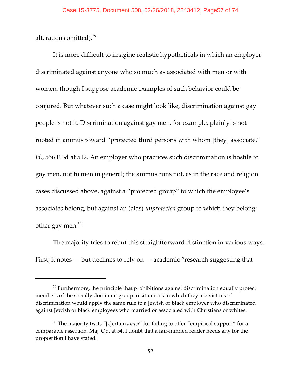alterations omitted).<sup>29</sup>

It is more difficult to imagine realistic hypotheticals in which an employer discriminated against anyone who so much as associated with men or with women, though I suppose academic examples of such behavior could be conjured. But whatever such a case might look like, discrimination against gay people is not it. Discrimination against gay men, for example, plainly is not rooted in animus toward "protected third persons with whom [they] associate." *Id.*, 556 F.3d at 512. An employer who practices such discrimination is hostile to gay men, not to men in general; the animus runs not, as in the race and religion cases discussed above, against a "protected group" to which the employee's associates belong, but against an (alas) *unprotected* group to which they belong: other gay men. $30$ 

The majority tries to rebut this straightforward distinction in various ways. First, it notes  $-$  but declines to rely on  $-$  academic "research suggesting that

 $29$  Furthermore, the principle that prohibitions against discrimination equally protect members of the socially dominant group in situations in which they are victims of discrimination would apply the same rule to a Jewish or black employer who discriminated against Jewish or black employees who married or associated with Christians or whites.

<sup>&</sup>lt;sup>30</sup> The majority twits "[c]ertain *amici*" for failing to offer "empirical support" for a comparable assertion. Maj. Op. at 54. I doubt that a fair-minded reader needs any for the proposition I have stated.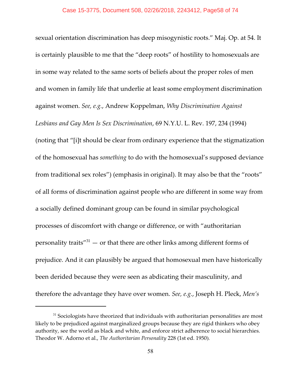sexual orientation discrimination has deep misogynistic roots." Maj. Op. at 54. It is certainly plausible to me that the "deep roots" of hostility to homosexuals are in some way related to the same sorts of beliefs about the proper roles of men and women in family life that underlie at least some employment discrimination against women. *See, e.g.*, Andrew Koppelman, *Why Discrimination Against Lesbians and Gay Men Is Sex Discrimination*, 69 N.Y.U. L. Rev. 197, 234 (1994) (noting that "[i]t should be clear from ordinary experience that the stigmatization of the homosexual has *something* to do with the homosexual's supposed deviance from traditional sex roles") (emphasis in original). It may also be that the "roots" of all forms of discrimination against people who are different in some way from a socially defined dominant group can be found in similar psychological processes of discomfort with change or difference, or with "authoritarian personality traits" $31$  — or that there are other links among different forms of prejudice. And it can plausibly be argued that homosexual men have historically been derided because they were seen as abdicating their masculinity, and therefore the advantage they have over women. *See, e.g.*, Joseph H. Pleck, *Men's*

 $31$  Sociologists have theorized that individuals with authoritarian personalities are most likely to be prejudiced against marginalized groups because they are rigid thinkers who obey authority, see the world as black and white, and enforce strict adherence to social hierarchies. Theodor W. Adorno et al., *The Authoritarian Personality* 228 (1st ed. 1950).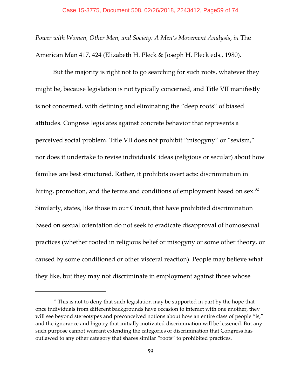*Power with Women, Other Men, and Society: A Men's Movement Analysis*, *in* The American Man 417, 424 (Elizabeth H. Pleck & Joseph H. Pleck eds., 1980).

But the majority is right not to go searching for such roots, whatever they might be, because legislation is not typically concerned, and Title VII manifestly is not concerned, with defining and eliminating the "deep roots" of biased attitudes. Congress legislates against concrete behavior that represents a perceived social problem. Title VII does not prohibit "misogyny" or "sexism," nor does it undertake to revise individuals' ideas (religious or secular) about how families are best structured. Rather, it prohibits overt acts: discrimination in hiring, promotion, and the terms and conditions of employment based on sex. $^{\rm 32}$ Similarly, states, like those in our Circuit, that have prohibited discrimination based on sexual orientation do not seek to eradicate disapproval of homosexual practices (whether rooted in religious belief or misogyny or some other theory, or caused by some conditioned or other visceral reaction). People may believe what they like, but they may not discriminate in employment against those whose

 $32$  This is not to deny that such legislation may be supported in part by the hope that once individuals from different backgrounds have occasion to interact with one another, they will see beyond stereotypes and preconceived notions about how an entire class of people "is," and the ignorance and bigotry that initially motivated discrimination will be lessened. But any such purpose cannot warrant extending the categories of discrimination that Congress has outlawed to any other category that shares similar "roots" to prohibited practices.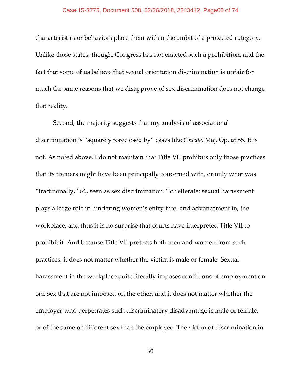characteristics or behaviors place them within the ambit of a protected category. Unlike those states, though, Congress has not enacted such a prohibition, and the fact that some of us believe that sexual orientation discrimination is unfair for much the same reasons that we disapprove of sex discrimination does not change that reality.

Second, the majority suggests that my analysis of associational discrimination is "squarely foreclosed by" cases like *Oncale*. Maj. Op. at 55. It is not. As noted above, I do not maintain that Title VII prohibits only those practices that its framers might have been principally concerned with, or only what was "traditionally," *id*., seen as sex discrimination. To reiterate: sexual harassment plays a large role in hindering women's entry into, and advancement in, the workplace, and thus it is no surprise that courts have interpreted Title VII to prohibit it. And because Title VII protects both men and women from such practices, it does not matter whether the victim is male or female. Sexual harassment in the workplace quite literally imposes conditions of employment on one sex that are not imposed on the other, and it does not matter whether the employer who perpetrates such discriminatory disadvantage is male or female, or of the same or different sex than the employee. The victim of discrimination in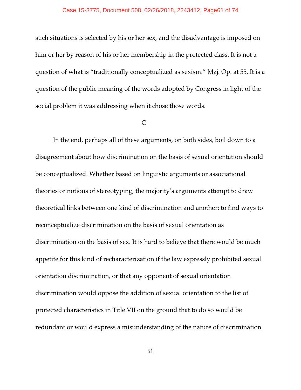### Case 15-3775, Document 508, 02/26/2018, 2243412, Page61 of 74

such situations is selected by his or her sex, and the disadvantage is imposed on him or her by reason of his or her membership in the protected class. It is not a question of what is "traditionally conceptualized as sexism." Maj. Op. at 55. It is a question of the public meaning of the words adopted by Congress in light of the social problem it was addressing when it chose those words.

# $\mathcal{C}_{\mathcal{C}}$

In the end, perhaps all of these arguments, on both sides, boil down to a disagreement about how discrimination on the basis of sexual orientation should be conceptualized. Whether based on linguistic arguments or associational theories or notions of stereotyping, the majority's arguments attempt to draw theoretical links between one kind of discrimination and another: to find ways to reconceptualize discrimination on the basis of sexual orientation as discrimination on the basis of sex. It is hard to believe that there would be much appetite for this kind of recharacterization if the law expressly prohibited sexual orientation discrimination, or that any opponent of sexual orientation discrimination would oppose the addition of sexual orientation to the list of protected characteristics in Title VII on the ground that to do so would be redundant or would express a misunderstanding of the nature of discrimination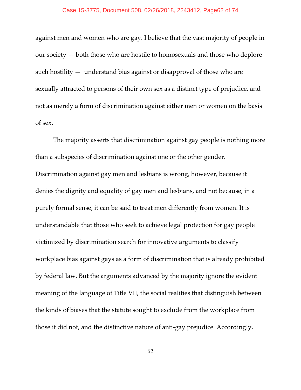#### Case 15-3775, Document 508, 02/26/2018, 2243412, Page62 of 74

against men and women who are gay. I believe that the vast majority of people in our society — both those who are hostile to homosexuals and those who deplore such hostility — understand bias against or disapproval of those who are sexually attracted to persons of their own sex as a distinct type of prejudice, and not as merely a form of discrimination against either men or women on the basis of sex.

The majority asserts that discrimination against gay people is nothing more than a subspecies of discrimination against one or the other gender. Discrimination against gay men and lesbians is wrong, however, because it denies the dignity and equality of gay men and lesbians, and not because, in a purely formal sense, it can be said to treat men differently from women. It is understandable that those who seek to achieve legal protection for gay people victimized by discrimination search for innovative arguments to classify workplace bias against gays as a form of discrimination that is already prohibited by federal law. But the arguments advanced by the majority ignore the evident meaning of the language of Title VII, the social realities that distinguish between the kinds of biases that the statute sought to exclude from the workplace from those it did not, and the distinctive nature of anti-gay prejudice. Accordingly,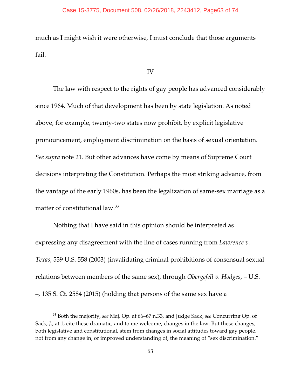## Case 15-3775, Document 508, 02/26/2018, 2243412, Page63 of 74

much as I might wish it were otherwise, I must conclude that those arguments fail.

# IV

The law with respect to the rights of gay people has advanced considerably since 1964. Much of that development has been by state legislation. As noted above, for example, twenty-two states now prohibit, by explicit legislative pronouncement, employment discrimination on the basis of sexual orientation. *See supra* note 21. But other advances have come by means of Supreme Court decisions interpreting the Constitution. Perhaps the most striking advance, from the vantage of the early 1960s, has been the legalization of same-sex marriage as a matter of constitutional law.<sup>33</sup>

Nothing that I have said in this opinion should be interpreted as expressing any disagreement with the line of cases running from *Lawrence v. Texas*, 539 U.S. 558 (2003) (invalidating criminal prohibitions of consensual sexual relations between members of the same sex), through *Obergefell v. Hodges*, – U.S. –, 135 S. Ct. 2584 (2015) (holding that persons of the same sex have a

<sup>&</sup>lt;sup>33</sup> Both the majority, see Maj. Op. at 66-67 n.33, and Judge Sack, see Concurring Op. of Sack, *J.*, at 1, cite these dramatic, and to me welcome, changes in the law. But these changes, both legislative and constitutional, stem from changes in social attitudes toward gay people, not from any change in, or improved understanding of, the meaning of "sex discrimination."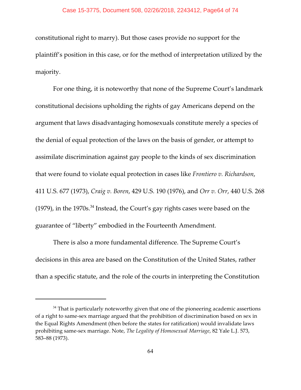constitutional right to marry). But those cases provide no support for the plaintiff's position in this case, or for the method of interpretation utilized by the majority.

For one thing, it is noteworthy that none of the Supreme Court's landmark constitutional decisions upholding the rights of gay Americans depend on the argument that laws disadvantaging homosexuals constitute merely a species of the denial of equal protection of the laws on the basis of gender, or attempt to assimilate discrimination against gay people to the kinds of sex discrimination that were found to violate equal protection in cases like *Frontiero v. Richardson*, 411 U.S. 677 (1973), *Craig v. Boren*, 429 U.S. 190 (1976), and *Orr v. Orr*, 440 U.S. 268 (1979), in the 1970s. $34$  Instead, the Court's gay rights cases were based on the guarantee of "liberty" embodied in the Fourteenth Amendment.

There is also a more fundamental difference. The Supreme Court's decisions in this area are based on the Constitution of the United States, rather than a specific statute, and the role of the courts in interpreting the Constitution

 $34$  That is particularly noteworthy given that one of the pioneering academic assertions of a right to same-sex marriage argued that the prohibition of discrimination based on sex in the Equal Rights Amendment (then before the states for ratification) would invalidate laws prohibiting same-sex marriage. Note, *The Legality of Homosexual Marriage*, 82 Yale L.J. 573, 583–88 (1973).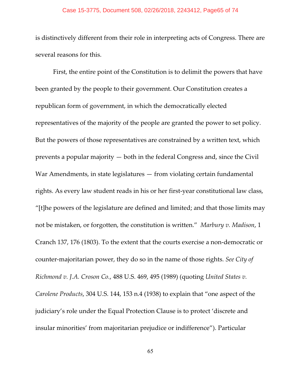### Case 15-3775, Document 508, 02/26/2018, 2243412, Page65 of 74

is distinctively different from their role in interpreting acts of Congress. There are several reasons for this.

First, the entire point of the Constitution is to delimit the powers that have been granted by the people to their government. Our Constitution creates a republican form of government, in which the democratically elected representatives of the majority of the people are granted the power to set policy. But the powers of those representatives are constrained by a written text, which prevents a popular majority — both in the federal Congress and, since the Civil War Amendments, in state legislatures — from violating certain fundamental rights. As every law student reads in his or her first-year constitutional law class, "[t]he powers of the legislature are defined and limited; and that those limits may not be mistaken, or forgotten, the constitution is written." *Marbury v. Madison*, 1 Cranch 137, 176 (1803). To the extent that the courts exercise a non-democratic or counter-majoritarian power, they do so in the name of those rights. *See City of Richmond v. J.A. Croson Co.*, 488 U.S. 469, 495 (1989) (quoting *United States v. Carolene Products*, 304 U.S. 144, 153 n.4 (1938) to explain that "one aspect of the judiciary's role under the Equal Protection Clause is to protect 'discrete and insular minorities' from majoritarian prejudice or indifference"). Particular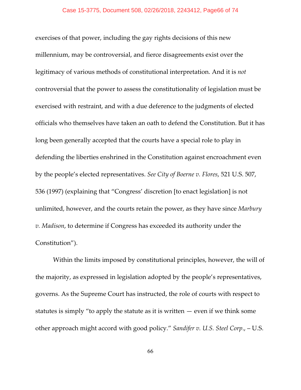exercises of that power, including the gay rights decisions of this new millennium, may be controversial, and fierce disagreements exist over the legitimacy of various methods of constitutional interpretation. And it is *not* controversial that the power to assess the constitutionality of legislation must be exercised with restraint, and with a due deference to the judgments of elected officials who themselves have taken an oath to defend the Constitution. But it has long been generally accepted that the courts have a special role to play in defending the liberties enshrined in the Constitution against encroachment even by the people's elected representatives. *See City of Boerne v. Flores*, 521 U.S. 507, 536 (1997) (explaining that "Congress' discretion [to enact legislation] is not unlimited, however, and the courts retain the power, as they have since *Marbury v. Madison*, to determine if Congress has exceeded its authority under the Constitution").

Within the limits imposed by constitutional principles, however, the will of the majority, as expressed in legislation adopted by the people's representatives, governs. As the Supreme Court has instructed, the role of courts with respect to statutes is simply "to apply the statute as it is written  $-$  even if we think some other approach might accord with good policy." *Sandifer v. U.S. Steel Corp*., – U.S.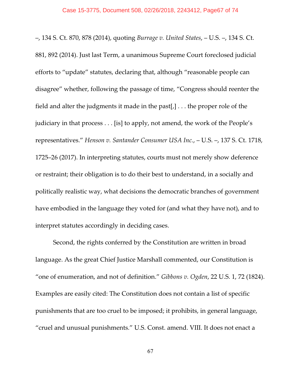–, 134 S. Ct. 870, 878 (2014), quoting *Burrage v. United States*, – U.S. –, 134 S. Ct. 881, 892 (2014). Just last Term, a unanimous Supreme Court foreclosed judicial efforts to "update" statutes, declaring that, although "reasonable people can disagree" whether, following the passage of time, "Congress should reenter the field and alter the judgments it made in the past[ $,$ ]... the proper role of the judiciary in that process . . . [is] to apply, not amend, the work of the People's representatives." *Henson v. Santander Consumer USA Inc.*, – U.S. –, 137 S. Ct. 1718, 1725–26 (2017). In interpreting statutes, courts must not merely show deference or restraint; their obligation is to do their best to understand, in a socially and politically realistic way, what decisions the democratic branches of government have embodied in the language they voted for (and what they have not), and to interpret statutes accordingly in deciding cases.

Second, the rights conferred by the Constitution are written in broad language. As the great Chief Justice Marshall commented, our Constitution is "one of enumeration, and not of definition." *Gibbons v. Ogden*, 22 U.S. 1, 72 (1824). Examples are easily cited: The Constitution does not contain a list of specific punishments that are too cruel to be imposed; it prohibits, in general language, "cruel and unusual punishments." U.S. Const. amend. VIII. It does not enact a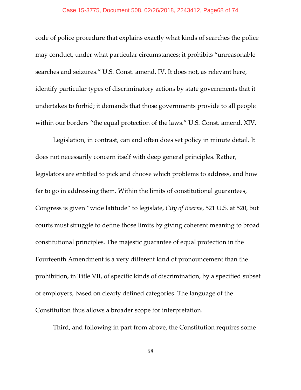### Case 15-3775, Document 508, 02/26/2018, 2243412, Page68 of 74

code of police procedure that explains exactly what kinds of searches the police may conduct, under what particular circumstances; it prohibits "unreasonable searches and seizures." U.S. Const. amend. IV. It does not, as relevant here, identify particular types of discriminatory actions by state governments that it undertakes to forbid; it demands that those governments provide to all people within our borders "the equal protection of the laws." U.S. Const. amend. XIV.

Legislation, in contrast, can and often does set policy in minute detail. It does not necessarily concern itself with deep general principles. Rather, legislators are entitled to pick and choose which problems to address, and how far to go in addressing them. Within the limits of constitutional guarantees, Congress is given "wide latitude" to legislate, *City of Boerne*, 521 U.S. at 520, but courts must struggle to define those limits by giving coherent meaning to broad constitutional principles. The majestic guarantee of equal protection in the Fourteenth Amendment is a very different kind of pronouncement than the prohibition, in Title VII, of specific kinds of discrimination, by a specified subset of employers, based on clearly defined categories. The language of the Constitution thus allows a broader scope for interpretation.

Third, and following in part from above, the Constitution requires some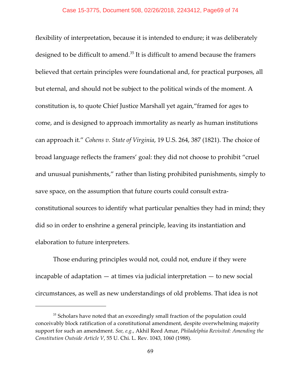flexibility of interpretation, because it is intended to endure; it was deliberately designed to be difficult to amend. $35$  It is difficult to amend because the framers believed that certain principles were foundational and, for practical purposes, all but eternal, and should not be subject to the political winds of the moment. A constitution is, to quote Chief Justice Marshall yet again,"framed for ages to come, and is designed to approach immortality as nearly as human institutions can approach it." *Cohens v. State of Virginia*, 19 U.S. 264, 387 (1821). The choice of broad language reflects the framers' goal: they did not choose to prohibit "cruel and unusual punishments," rather than listing prohibited punishments, simply to save space, on the assumption that future courts could consult extraconstitutional sources to identify what particular penalties they had in mind; they did so in order to enshrine a general principle, leaving its instantiation and elaboration to future interpreters.

Those enduring principles would not, could not, endure if they were incapable of adaptation  $-$  at times via judicial interpretation  $-$  to new social circumstances, as well as new understandings of old problems. That idea is not

 $35$  Scholars have noted that an exceedingly small fraction of the population could conceivably block ratification of a constitutional amendment, despite overwhelming majority support for such an amendment. *See, e.g.*, Akhil Reed Amar, *Philadelphia Revisited: Amending the Constitution Outside Article V*, 55 U. Chi. L. Rev. 1043, 1060 (1988).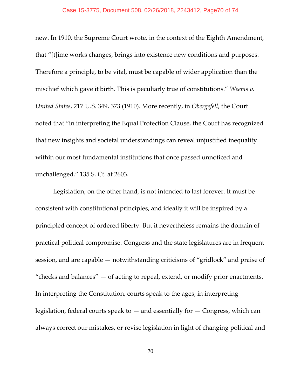### Case 15-3775, Document 508, 02/26/2018, 2243412, Page70 of 74

new. In 1910, the Supreme Court wrote, in the context of the Eighth Amendment, that "[t]ime works changes, brings into existence new conditions and purposes. Therefore a principle, to be vital, must be capable of wider application than the mischief which gave it birth. This is peculiarly true of constitutions." *Weems v. United States*, 217 U.S. 349, 373 (1910). More recently, in *Obergefell*, the Court noted that "in interpreting the Equal Protection Clause, the Court has recognized that new insights and societal understandings can reveal unjustified inequality within our most fundamental institutions that once passed unnoticed and unchallenged." 135 S. Ct. at 2603.

Legislation, on the other hand, is not intended to last forever. It must be consistent with constitutional principles, and ideally it will be inspired by a principled concept of ordered liberty. But it nevertheless remains the domain of practical political compromise. Congress and the state legislatures are in frequent session, and are capable — notwithstanding criticisms of "gridlock" and praise of "checks and balances"  $-$  of acting to repeal, extend, or modify prior enactments. In interpreting the Constitution, courts speak to the ages; in interpreting legislation, federal courts speak to  $-$  and essentially for  $-$  Congress, which can always correct our mistakes, or revise legislation in light of changing political and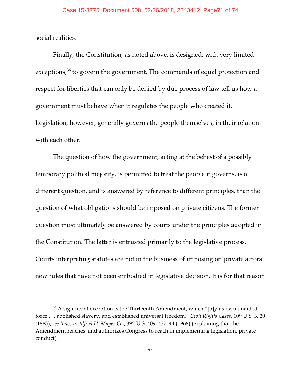social realities.

Finally, the Constitution, as noted above, is designed, with very limited exceptions, $36$  to govern the government. The commands of equal protection and respect for liberties that can only be denied by due process of law tell us how a government must behave when it regulates the people who created it. Legislation, however, generally governs the people themselves, in their relation with each other.

The question of how the government, acting at the behest of a possibly temporary political majority, is permitted to treat the people it governs, is a different question, and is answered by reference to different principles, than the question of what obligations should be imposed on private citizens. The former question must ultimately be answered by courts under the principles adopted in the Constitution. The latter is entrusted primarily to the legislative process. Courts interpreting statutes are not in the business of imposing on private actors new rules that have not been embodied in legislative decision. It is for that reason

 $36$  A significant exception is the Thirteenth Amendment, which "[b]y its own unaided force . . . abolished slavery, and established universal freedom." *Civil Rights Cases*, 109 U.S. 3, 20 (1883); *see Jones v. Alfred H. Mayer Co.*, 392 U.S. 409, 437–44 (1968) (explaining that the Amendment reaches, and authorizes Congress to reach in implementing legislation, private conduct).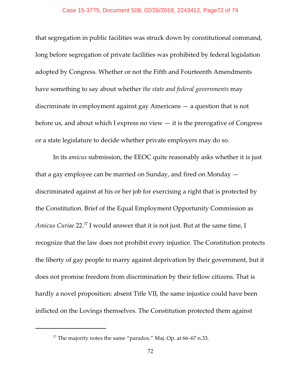## Case 15-3775, Document 508, 02/26/2018, 2243412, Page72 of 74

that segregation in public facilities was struck down by constitutional command, long before segregation of private facilities was prohibited by federal legislation adopted by Congress. Whether or not the Fifth and Fourteenth Amendments have something to say about whether *the state and federal governments* may discriminate in employment against gay Americans — a question that is not before us, and about which I express no view  $-$  it is the prerogative of Congress or a state legislature to decide whether private employers may do so.

In its *amicus* submission, the EEOC quite reasonably asks whether it is just that a gay employee can be married on Sunday, and fired on Monday discriminated against at his or her job for exercising a right that is protected by the Constitution. Brief of the Equal Employment Opportunity Commission as *Amicus Curiae* 22.<sup>37</sup> I would answer that it is not just. But at the same time, I recognize that the law does not prohibit every injustice. The Constitution protects the liberty of gay people to marry against deprivation by their government, but it does not promise freedom from discrimination by their fellow citizens. That is hardly a novel proposition: absent Title VII, the same injustice could have been inflicted on the Lovings themselves. The Constitution protected them against

 $37$  The majority notes the same "paradox." Maj. Op. at 66–67 n.33.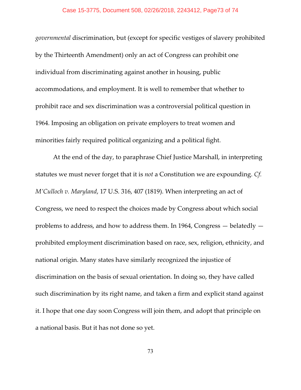## Case 15-3775, Document 508, 02/26/2018, 2243412, Page73 of 74

*governmental* discrimination, but (except for specific vestiges of slavery prohibited by the Thirteenth Amendment) only an act of Congress can prohibit one individual from discriminating against another in housing, public accommodations, and employment. It is well to remember that whether to prohibit race and sex discrimination was a controversial political question in 1964. Imposing an obligation on private employers to treat women and minorities fairly required political organizing and a political fight.

At the end of the day, to paraphrase Chief Justice Marshall, in interpreting statutes we must never forget that it is *not* a Constitution we are expounding. *Cf. M'Culloch v. Maryland*, 17 U.S. 316, 407 (1819). When interpreting an act of Congress, we need to respect the choices made by Congress about which social problems to address, and how to address them. In 1964, Congress — belatedly prohibited employment discrimination based on race, sex, religion, ethnicity, and national origin. Many states have similarly recognized the injustice of discrimination on the basis of sexual orientation. In doing so, they have called such discrimination by its right name, and taken a firm and explicit stand against it. I hope that one day soon Congress will join them, and adopt that principle on a national basis. But it has not done so yet.